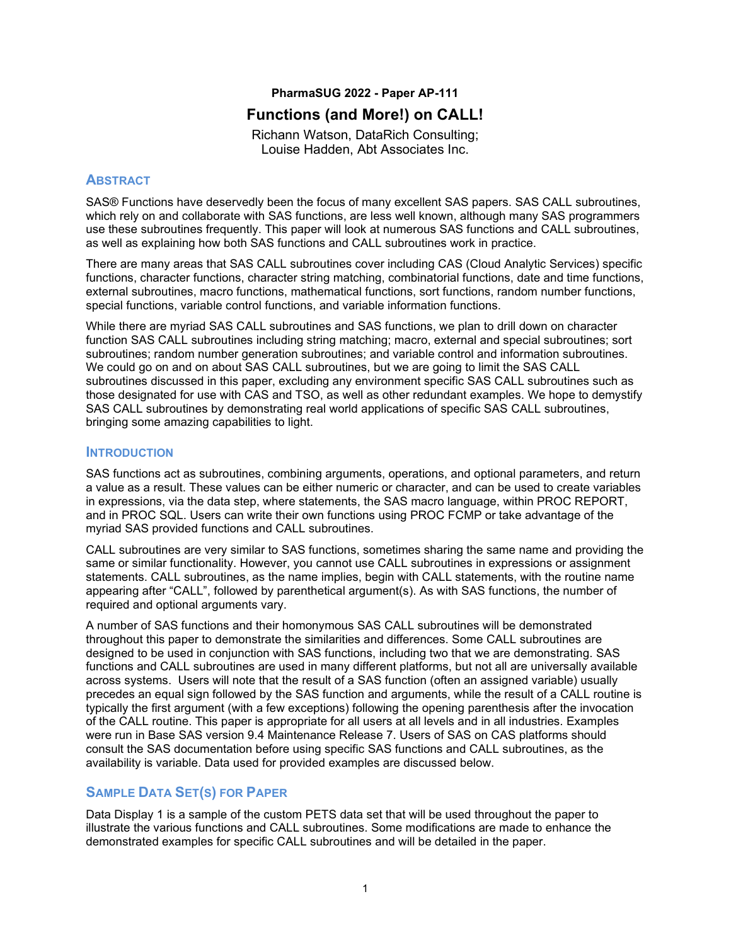#### **PharmaSUG 2022 - Paper AP-111**

# **Functions (and More!) on CALL!**

Richann Watson, DataRich Consulting; Louise Hadden, Abt Associates Inc.

### **ABSTRACT**

SAS® Functions have deservedly been the focus of many excellent SAS papers. SAS CALL subroutines, which rely on and collaborate with SAS functions, are less well known, although many SAS programmers use these subroutines frequently. This paper will look at numerous SAS functions and CALL subroutines, as well as explaining how both SAS functions and CALL subroutines work in practice.

There are many areas that SAS CALL subroutines cover including CAS (Cloud Analytic Services) specific functions, character functions, character string matching, combinatorial functions, date and time functions, external subroutines, macro functions, mathematical functions, sort functions, random number functions, special functions, variable control functions, and variable information functions.

While there are myriad SAS CALL subroutines and SAS functions, we plan to drill down on character function SAS CALL subroutines including string matching; macro, external and special subroutines; sort subroutines; random number generation subroutines; and variable control and information subroutines. We could go on and on about SAS CALL subroutines, but we are going to limit the SAS CALL subroutines discussed in this paper, excluding any environment specific SAS CALL subroutines such as those designated for use with CAS and TSO, as well as other redundant examples. We hope to demystify SAS CALL subroutines by demonstrating real world applications of specific SAS CALL subroutines, bringing some amazing capabilities to light.

#### **INTRODUCTION**

SAS functions act as subroutines, combining arguments, operations, and optional parameters, and return a value as a result. These values can be either numeric or character, and can be used to create variables in expressions, via the data step, where statements, the SAS macro language, within PROC REPORT, and in PROC SQL. Users can write their own functions using PROC FCMP or take advantage of the myriad SAS provided functions and CALL subroutines.

CALL subroutines are very similar to SAS functions, sometimes sharing the same name and providing the same or similar functionality. However, you cannot use CALL subroutines in expressions or assignment statements. CALL subroutines, as the name implies, begin with CALL statements, with the routine name appearing after "CALL", followed by parenthetical argument(s). As with SAS functions, the number of required and optional arguments vary.

A number of SAS functions and their homonymous SAS CALL subroutines will be demonstrated throughout this paper to demonstrate the similarities and differences. Some CALL subroutines are designed to be used in conjunction with SAS functions, including two that we are demonstrating. SAS functions and CALL subroutines are used in many different platforms, but not all are universally available across systems. Users will note that the result of a SAS function (often an assigned variable) usually precedes an equal sign followed by the SAS function and arguments, while the result of a CALL routine is typically the first argument (with a few exceptions) following the opening parenthesis after the invocation of the CALL routine. This paper is appropriate for all users at all levels and in all industries. Examples were run in Base SAS version 9.4 Maintenance Release 7. Users of SAS on CAS platforms should consult the SAS documentation before using specific SAS functions and CALL subroutines, as the availability is variable. Data used for provided examples are discussed below.

## **SAMPLE DATA SET(S) FOR PAPER**

[Data Display 1](#page-1-0) is a sample of the custom PETS data set that will be used throughout the paper to illustrate the various functions and CALL subroutines. Some modifications are made to enhance the demonstrated examples for specific CALL subroutines and will be detailed in the paper.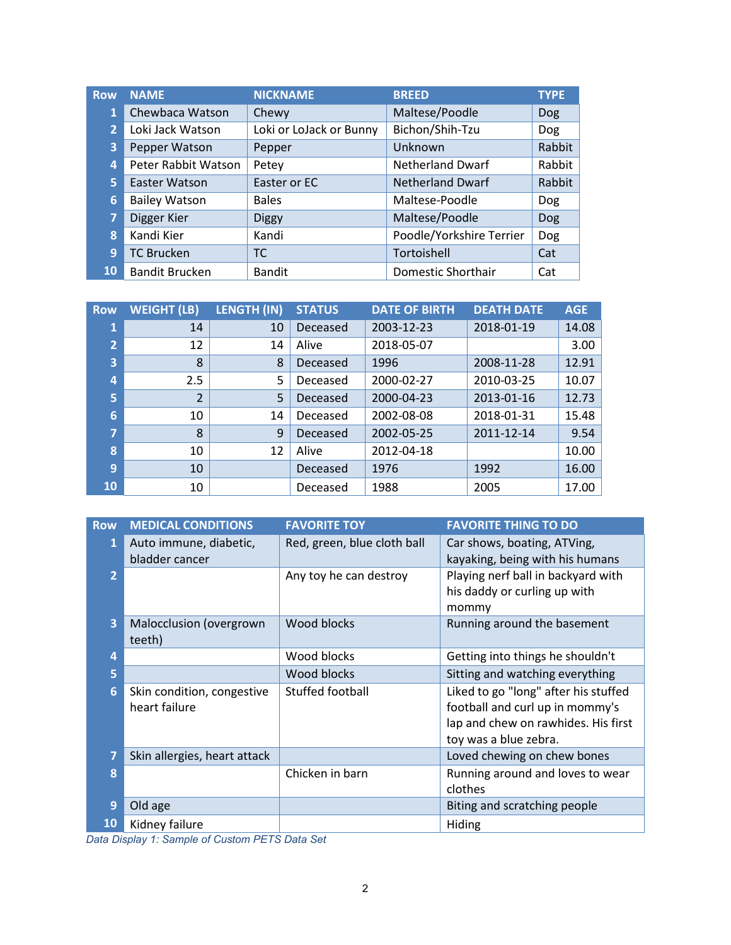| <b>Row</b>     | <b>NAME</b>           | <b>NICKNAME</b>         | <b>BREED</b>             | <b>TYPE</b> |
|----------------|-----------------------|-------------------------|--------------------------|-------------|
| $\mathbf{1}$   | Chewbaca Watson       | Chewy                   | Maltese/Poodle           | <b>Dog</b>  |
| $\overline{2}$ | Loki Jack Watson      | Loki or LoJack or Bunny | Bichon/Shih-Tzu          | <b>Dog</b>  |
| 3              | Pepper Watson         | Pepper                  | Unknown                  | Rabbit      |
| 4              | Peter Rabbit Watson   | Petey                   | <b>Netherland Dwarf</b>  | Rabbit      |
| 5              | Easter Watson         | Easter or EC            | <b>Netherland Dwarf</b>  | Rabbit      |
| 6 <sub>l</sub> | <b>Bailey Watson</b>  | <b>Bales</b>            | Maltese-Poodle           | Dog         |
| 7              | Digger Kier           | <b>Diggy</b>            | Maltese/Poodle           | <b>Dog</b>  |
| 8              | Kandi Kier            | Kandi                   | Poodle/Yorkshire Terrier | Dog         |
| 9              | <b>TC Brucken</b>     | <b>TC</b>               | Tortoishell              | Cat         |
| 10             | <b>Bandit Brucken</b> | <b>Bandit</b>           | Domestic Shorthair       | Cat         |

| <b>Row</b>     | <b>WEIGHT (LB)</b> | <b>LENGTH (IN)</b> | <b>STATUS</b> | <b>DATE OF BIRTH</b> | <b>DEATH DATE</b> | <b>AGE</b> |
|----------------|--------------------|--------------------|---------------|----------------------|-------------------|------------|
| 1              | 14                 | 10                 | Deceased      | 2003-12-23           | 2018-01-19        | 14.08      |
| $\overline{2}$ | 12                 | 14                 | Alive         | 2018-05-07           |                   | 3.00       |
| 3              | 8                  | 8                  | Deceased      | 1996                 | 2008-11-28        | 12.91      |
| 4              | 2.5                | 5                  | Deceased      | 2000-02-27           | 2010-03-25        | 10.07      |
| 5              | $\mathcal{P}$      | 5                  | Deceased      | 2000-04-23           | 2013-01-16        | 12.73      |
| 6              | 10                 | 14                 | Deceased      | 2002-08-08           | 2018-01-31        | 15.48      |
| 7              | 8                  | 9                  | Deceased      | 2002-05-25           | 2011-12-14        | 9.54       |
| 8              | 10                 | 12                 | Alive         | 2012-04-18           |                   | 10.00      |
| 9              | 10                 |                    | Deceased      | 1976                 | 1992              | 16.00      |
| <b>10</b>      | 10                 |                    | Deceased      | 1988                 | 2005              | 17.00      |

| <b>Row</b>     | <b>MEDICAL CONDITIONS</b>                   | <b>FAVORITE TOY</b>         | <b>FAVORITE THING TO DO</b>                                                                                                             |
|----------------|---------------------------------------------|-----------------------------|-----------------------------------------------------------------------------------------------------------------------------------------|
|                | Auto immune, diabetic,<br>bladder cancer    | Red, green, blue cloth ball | Car shows, boating, ATVing,<br>kayaking, being with his humans                                                                          |
| $\overline{2}$ |                                             | Any toy he can destroy      | Playing nerf ball in backyard with<br>his daddy or curling up with<br>mommy                                                             |
| 3              | Malocclusion (overgrown<br>teeth)           | Wood blocks                 | Running around the basement                                                                                                             |
| 4              |                                             | Wood blocks                 | Getting into things he shouldn't                                                                                                        |
| 5              |                                             | Wood blocks                 | Sitting and watching everything                                                                                                         |
| 6              | Skin condition, congestive<br>heart failure | Stuffed football            | Liked to go "long" after his stuffed<br>football and curl up in mommy's<br>lap and chew on rawhides. His first<br>toy was a blue zebra. |
| $\overline{7}$ | Skin allergies, heart attack                |                             | Loved chewing on chew bones                                                                                                             |
| 8              |                                             | Chicken in barn             | Running around and loves to wear<br>clothes                                                                                             |
| 9              | Old age                                     |                             | Biting and scratching people                                                                                                            |
| <b>10</b>      | Kidney failure                              |                             | Hiding                                                                                                                                  |

<span id="page-1-0"></span>*Data Display 1: Sample of Custom PETS Data Set*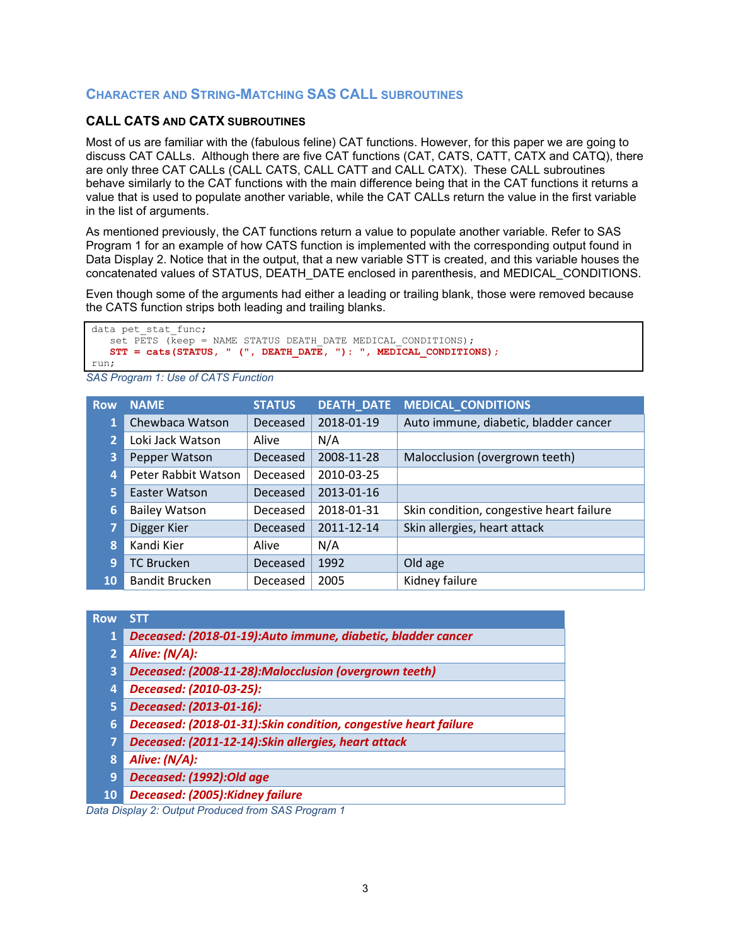## **CHARACTER AND STRING-MATCHING SAS CALL SUBROUTINES**

### **CALL CATS AND CATX SUBROUTINES**

Most of us are familiar with the (fabulous feline) CAT functions. However, for this paper we are going to discuss CAT CALLs. Although there are five CAT functions (CAT, CATS, CATT, CATX and CATQ), there are only three CAT CALLs (CALL CATS, CALL CATT and CALL CATX). These CALL subroutines behave similarly to the CAT functions with the main difference being that in the CAT functions it returns a value that is used to populate another variable, while the CAT CALLs return the value in the first variable in the list of arguments.

As mentioned previously, the CAT functions return a value to populate another variable. Refer to [SAS](#page-2-0)  [Program 1](#page-2-0) for an example of how CATS function is implemented with the corresponding output found in [Data Display](#page-2-1) 2. Notice that in the output, that a new variable STT is created, and this variable houses the concatenated values of STATUS, DEATH\_DATE enclosed in parenthesis, and MEDICAL\_CONDITIONS.

Even though some of the arguments had either a leading or trailing blank, those were removed because the CATS function strips both leading and trailing blanks.

```
data pet_stat_func;
   set PETS (keep = NAME STATUS DEATH DATE MEDICAL CONDITIONS);
    STT = cats(STATUS, " (", DEATH_DATE, "): ", MEDICAL_CONDITIONS);
run;
```
<span id="page-2-0"></span>*SAS Program 1: Use of CATS Function*

| <b>Row</b>     | <b>NAME</b>           | <b>STATUS</b>   | <b>DEATH_DATE</b> | <b>MEDICAL_CONDITIONS</b>                |
|----------------|-----------------------|-----------------|-------------------|------------------------------------------|
| 1              | Chewbaca Watson       | <b>Deceased</b> | 2018-01-19        | Auto immune, diabetic, bladder cancer    |
| $\overline{2}$ | Loki Jack Watson      | Alive           | N/A               |                                          |
| 3              | Pepper Watson         | Deceased        | 2008-11-28        | Malocclusion (overgrown teeth)           |
| 4              | Peter Rabbit Watson   | Deceased        | 2010-03-25        |                                          |
| 5.             | Easter Watson         | Deceased        | 2013-01-16        |                                          |
| 6              | <b>Bailey Watson</b>  | Deceased        | 2018-01-31        | Skin condition, congestive heart failure |
| 7              | Digger Kier           | Deceased        | 2011-12-14        | Skin allergies, heart attack             |
| 8              | Kandi Kier            | Alive           | N/A               |                                          |
| 9              | <b>TC Brucken</b>     | Deceased        | 1992              | Old age                                  |
| 10             | <b>Bandit Brucken</b> | Deceased        | 2005              | Kidney failure                           |

| <b>Row</b>     | <b>STT</b>                                                      |
|----------------|-----------------------------------------------------------------|
| 1              | Deceased: (2018-01-19):Auto immune, diabetic, bladder cancer    |
| $\overline{2}$ | Alive: (N/A):                                                   |
| 3              | Deceased: (2008-11-28):Malocclusion (overgrown teeth)           |
| 4              | Deceased: (2010-03-25):                                         |
| 5              | Deceased: (2013-01-16):                                         |
| 6              | Deceased: (2018-01-31):Skin condition, congestive heart failure |
| 7              | Deceased: (2011-12-14): Skin allergies, heart attack            |
| 8              | Alive: (N/A):                                                   |
| 9              | Deceased: (1992):Old age                                        |
| <b>10</b>      | Deceased: (2005): Kidney failure                                |
| . <i>.</i>     |                                                                 |

<span id="page-2-1"></span>*Data Display 2: Output Produced from SAS Program 1*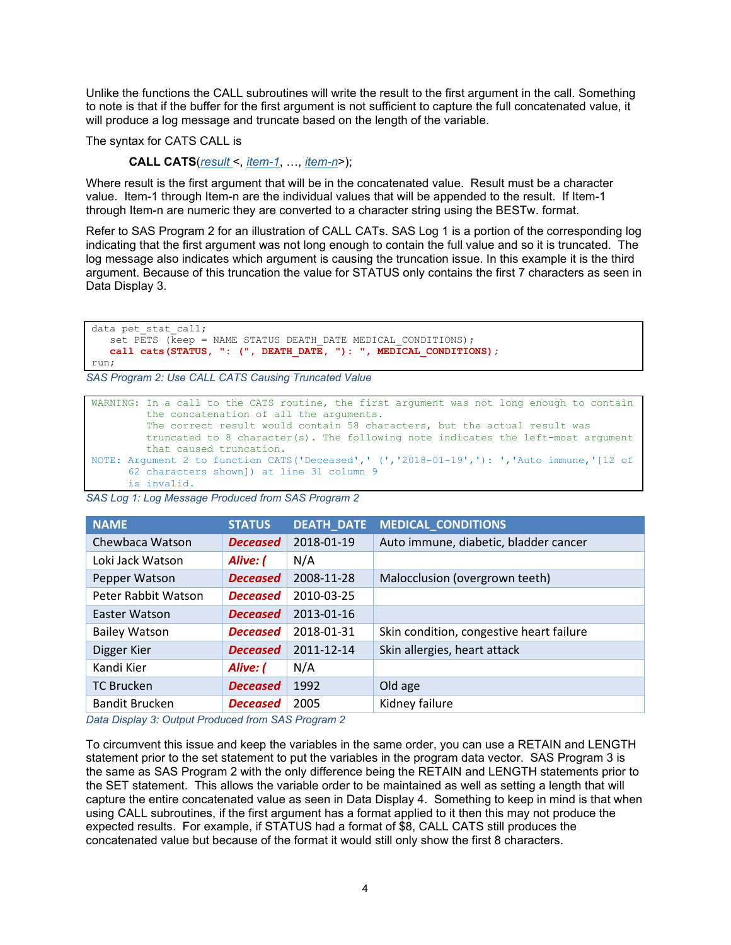Unlike the functions the CALL subroutines will write the result to the first argument in the call. Something to note is that if the buffer for the first argument is not sufficient to capture the full concatenated value, it will produce a log message and truncate based on the length of the variable.

The syntax for CATS CALL is

**CALL CATS**(*result* <, *item-1*, …, *item-n*>);

Where result is the first argument that will be in the concatenated value. Result must be a character value. Item-1 through Item-n are the individual values that will be appended to the result. If Item-1 through Item-n are numeric they are converted to a character string using the BESTw. format.

Refer to [SAS Program 2](#page-3-0) for an illustration of CALL CATs. [SAS Log 1](#page-3-1) is a portion of the corresponding log indicating that the first argument was not long enough to contain the full value and so it is truncated. The log message also indicates which argument is causing the truncation issue. In this example it is the third argument. Because of this truncation the value for STATUS only contains the first 7 characters as seen in [Data Display](#page-3-2) 3.

```
data pet stat call;
   set PETS (keep = NAME STATUS DEATH DATE MEDICAL CONDITIONS);
    call cats(STATUS, ": (", DEATH_DATE, "): ", MEDICAL_CONDITIONS);
run;
```
<span id="page-3-0"></span>*SAS Program 2: Use CALL CATS Causing Truncated Value*

```
WARNING: In a call to the CATS routine, the first argument was not long enough to contain
          the concatenation of all the arguments. 
          The correct result would contain 58 characters, but the actual result was 
          truncated to 8 character(s). The following note indicates the left-most argument
          that caused truncation.
NOTE: Argument 2 to function CATS('Deceased',' (','2018-01-19','): ','Auto immune,'[12 of 
       62 characters shown]) at line 31 column 9 
       is invalid.
```

| <b>NAME</b>           | <b>STATUS</b>   | <b>DEATH_DATE</b> | <b>MEDICAL CONDITIONS</b>                |
|-----------------------|-----------------|-------------------|------------------------------------------|
| Chewbaca Watson       | <b>Deceased</b> | 2018-01-19        | Auto immune, diabetic, bladder cancer    |
| Loki Jack Watson      | Alive: (        | N/A               |                                          |
| Pepper Watson         | <b>Deceased</b> | 2008-11-28        | Malocclusion (overgrown teeth)           |
| Peter Rabbit Watson   | <b>Deceased</b> | 2010-03-25        |                                          |
| Easter Watson         | <b>Deceased</b> | 2013-01-16        |                                          |
| <b>Bailey Watson</b>  | <b>Deceased</b> | 2018-01-31        | Skin condition, congestive heart failure |
| Digger Kier           | <b>Deceased</b> | 2011-12-14        | Skin allergies, heart attack             |
| Kandi Kier            | Alive: (        | N/A               |                                          |
| <b>TC Brucken</b>     | <b>Deceased</b> | 1992              | Old age                                  |
| <b>Bandit Brucken</b> | <b>Deceased</b> | 2005              | Kidney failure                           |

<span id="page-3-1"></span>*SAS Log 1: Log Message Produced from SAS Program 2*

<span id="page-3-2"></span>*Data Display 3: Output Produced from SAS Program 2*

To circumvent this issue and keep the variables in the same order, you can use a RETAIN and LENGTH statement prior to the set statement to put the variables in the program data vector. [SAS Program 3](#page-4-0) is the same as [SAS Program 2](#page-3-0) with the only difference being the RETAIN and LENGTH statements prior to the SET statement. This allows the variable order to be maintained as well as setting a length that will capture the entire concatenated value as seen in [Data Display](#page-4-1) 4. Something to keep in mind is that when using CALL subroutines, if the first argument has a format applied to it then this may not produce the expected results. For example, if STATUS had a format of \$8, CALL CATS still produces the concatenated value but because of the format it would still only show the first 8 characters.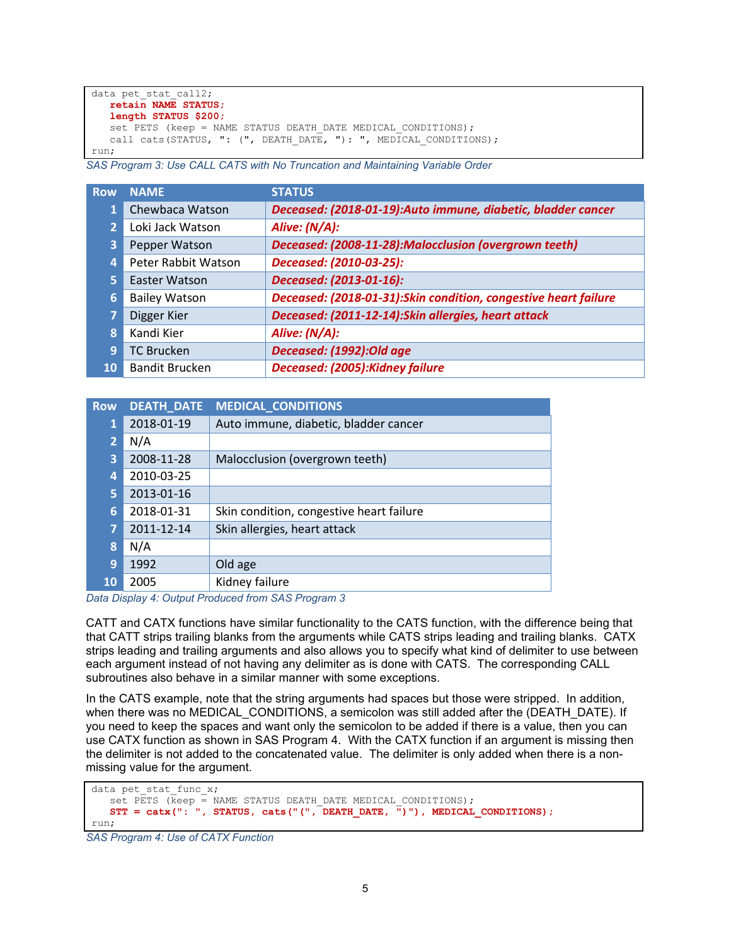```
data pet stat call2;
   retain NAME STATUS;
   length STATUS $200;
   set PETS (keep = NAME STATUS DEATH DATE MEDICAL CONDITIONS);
  call cats(STATUS, ": (", DEATH DATE, "): ", MEDICAL CONDITIONS);
run;
```
<span id="page-4-0"></span>*SAS Program 3: Use CALL CATS with No Truncation and Maintaining Variable Order*

| <b>Row</b>      | <b>NAME</b>           | <b>STATUS</b>                                                   |
|-----------------|-----------------------|-----------------------------------------------------------------|
|                 | Chewbaca Watson       | Deceased: (2018-01-19):Auto immune, diabetic, bladder cancer    |
| $\overline{2}$  | Loki Jack Watson      | Alive: (N/A):                                                   |
| 3               | Pepper Watson         | Deceased: (2008-11-28): Malocclusion (overgrown teeth)          |
| 4               | Peter Rabbit Watson   | Deceased: (2010-03-25):                                         |
| 5.              | Easter Watson         | Deceased: (2013-01-16):                                         |
| $\vert 6 \vert$ | <b>Bailey Watson</b>  | Deceased: (2018-01-31):Skin condition, congestive heart failure |
| 7               | Digger Kier           | Deceased: (2011-12-14):Skin allergies, heart attack             |
| 8               | Kandi Kier            | Alive: (N/A):                                                   |
| 9               | <b>TC Brucken</b>     | Deceased: (1992): Old age                                       |
| 10              | <b>Bandit Brucken</b> | Deceased: (2005): Kidney failure                                |

| <b>Row</b>     | <b>DEATH_DATE</b> | <b>MEDICAL CONDITIONS</b>                |
|----------------|-------------------|------------------------------------------|
| 1              | 2018-01-19        | Auto immune, diabetic, bladder cancer    |
| $\overline{2}$ | N/A               |                                          |
| 3              | 2008-11-28        | Malocclusion (overgrown teeth)           |
| 4              | 2010-03-25        |                                          |
| 5.             | 2013-01-16        |                                          |
| 6.             | 2018-01-31        | Skin condition, congestive heart failure |
| 7              | 2011-12-14        | Skin allergies, heart attack             |
| 8              | N/A               |                                          |
| 9              | 1992              | Old age                                  |
| <b>10</b>      | 2005              | Kidney failure                           |

<span id="page-4-1"></span>*Data Display 4: Output Produced from SAS Program 3*

CATT and CATX functions have similar functionality to the CATS function, with the difference being that that CATT strips trailing blanks from the arguments while CATS strips leading and trailing blanks. CATX strips leading and trailing arguments and also allows you to specify what kind of delimiter to use between each argument instead of not having any delimiter as is done with CATS. The corresponding CALL subroutines also behave in a similar manner with some exceptions.

In the CATS example, note that the string arguments had spaces but those were stripped. In addition, when there was no MEDICAL\_CONDITIONS, a semicolon was still added after the (DEATH\_DATE). If you need to keep the spaces and want only the semicolon to be added if there is a value, then you can use CATX function as shown in [SAS Program 4.](#page-4-2) With the CATX function if an argument is missing then the delimiter is not added to the concatenated value. The delimiter is only added when there is a nonmissing value for the argument.

```
data pet stat func x;
   set PETS (keep = NAME STATUS DEATH DATE MEDICAL CONDITIONS);
    STT = catx(": ", STATUS, cats("(", DEATH_DATE, ")"), MEDICAL_CONDITIONS);
run;
```
<span id="page-4-2"></span>*SAS Program 4: Use of CATX Function*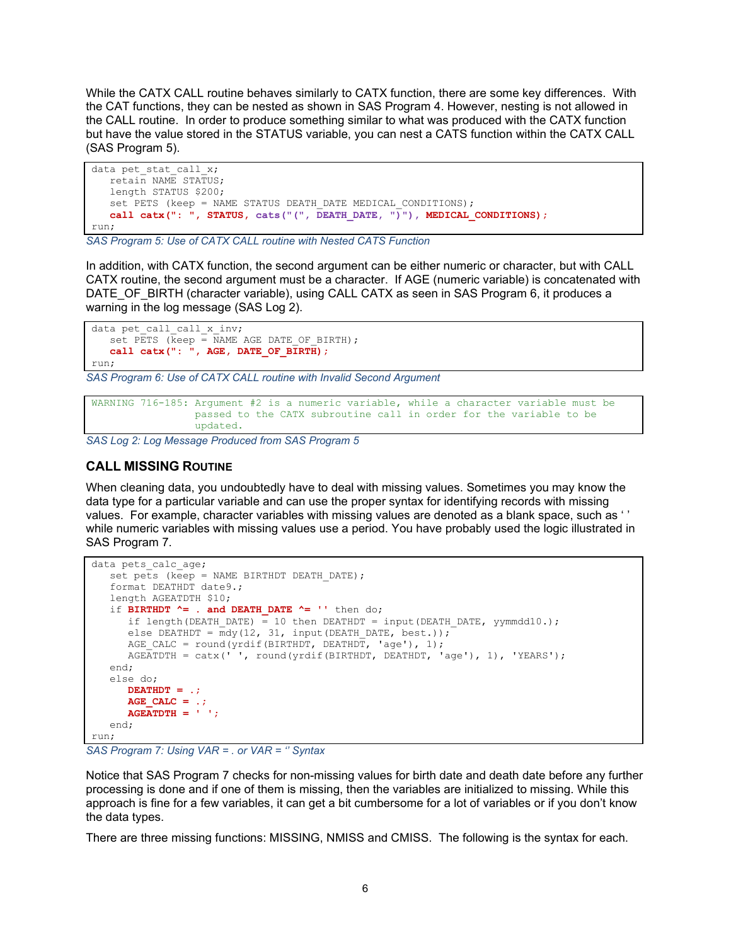While the CATX CALL routine behaves similarly to CATX function, there are some key differences. With the CAT functions, they can be nested as shown in [SAS Program 4.](#page-4-2) However, nesting is not allowed in the CALL routine. In order to produce something similar to what was produced with the CATX function but have the value stored in the STATUS variable, you can nest a CATS function within the CATX CALL [\(SAS Program 5\)](#page-5-0).

```
data pet stat call x;
   retain NAME STATUS;
    length STATUS $200;
   set PETS (keep = NAME STATUS DEATH DATE MEDICAL CONDITIONS);
    call catx(": ", STATUS, cats("(", DEATH_DATE, ")"), MEDICAL_CONDITIONS);
run;
```
<span id="page-5-0"></span>*SAS Program 5: Use of CATX CALL routine with Nested CATS Function*

In addition, with CATX function, the second argument can be either numeric or character, but with CALL CATX routine, the second argument must be a character. If AGE (numeric variable) is concatenated with DATE\_OF\_BIRTH (character variable), using CALL CATX as seen in [SAS Program 6,](#page-5-1) it produces a warning in the log message [\(SAS Log 2\)](#page-5-2).

```
data pet_call_call_x_inv;
   set PETS (keep = NAME AGE DATE OF BIRTH);
   call catx(": ", AGE, DATE OF BIRTH);
run;
```
<span id="page-5-1"></span>*SAS Program 6: Use of CATX CALL routine with Invalid Second Argument*

```
WARNING 716-185: Argument #2 is a numeric variable, while a character variable must be 
                  passed to the CATX subroutine call in order for the variable to be 
                 updated.
```
<span id="page-5-2"></span>*SAS Log 2: Log Message Produced from SAS Program 5*

## **CALL MISSING ROUTINE**

When cleaning data, you undoubtedly have to deal with missing values. Sometimes you may know the data type for a particular variable and can use the proper syntax for identifying records with missing values. For example, character variables with missing values are denoted as a blank space, such as ' ' while numeric variables with missing values use a period. You have probably used the logic illustrated in [SAS Program 7.](#page-5-3)

```
data pets calc age;
   set pets (keep = NAME BIRTHDT DEATH DATE);
    format DEATHDT date9.;
    length AGEATDTH $10;
   if BIRTHDT \uparrow = . and DEATH DATE \uparrow = '' then do;
      if length(DEATH_DATE) = 10 then DEATHDT = input(DEATH_DATE, yymmdd10.);
      else DEATHDT = mdy(12, 31, input(DEATH DATE, best.));AGE CALC = round(yrdif(BIRTHDT, DEATHDT, 'age'), 1);
      AGEATDTH = catz('', round(yrdif(BIRTHDT, DEATHDT, 'age'), 1), 'YEARS'); end;
    else do;
      DEATHDT = .;
       AGE_CALC = .;
      AGEATDTH = ' ';
    end;
run;
```
<span id="page-5-3"></span>*SAS Program 7: Using VAR = . or VAR = '' Syntax*

Notice that [SAS Program 7](#page-5-3) checks for non-missing values for birth date and death date before any further processing is done and if one of them is missing, then the variables are initialized to missing. While this approach is fine for a few variables, it can get a bit cumbersome for a lot of variables or if you don't know the data types.

There are three missing functions: MISSING, NMISS and CMISS. The following is the syntax for each.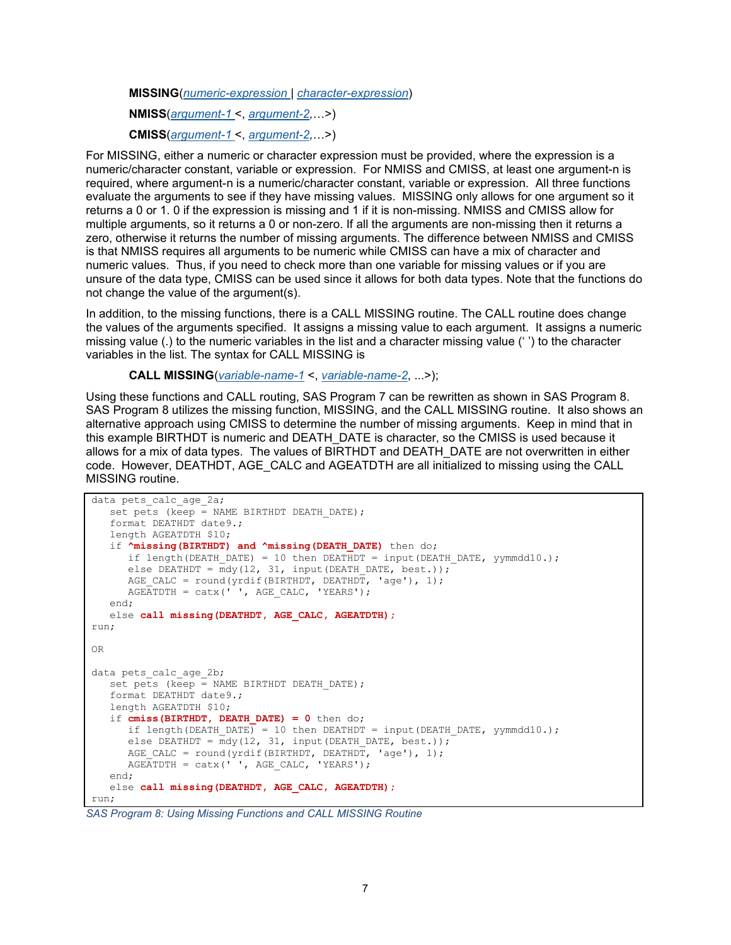**MISSING**(*numeric-expression* | *character-expression*)

**NMISS**(*[argument-1](https://documentation.sas.com/doc/en/pgmsascdc/9.4_3.5/lefunctionsref/p1tth4ltf640din1ey86ubo2lky2.htm)* <, *argument-2,*…>)

**CMISS**(*[argument-1](https://documentation.sas.com/doc/en/pgmsascdc/9.4_3.5/lefunctionsref/p1tth4ltf640din1ey86ubo2lky2.htm)* <, *argument-2,*…>)

For MISSING, either a numeric or character expression must be provided, where the expression is a numeric/character constant, variable or expression. For NMISS and CMISS, at least one argument-n is required, where argument-n is a numeric/character constant, variable or expression. All three functions evaluate the arguments to see if they have missing values. MISSING only allows for one argument so it returns a 0 or 1. 0 if the expression is missing and 1 if it is non-missing. NMISS and CMISS allow for multiple arguments, so it returns a 0 or non-zero. If all the arguments are non-missing then it returns a zero, otherwise it returns the number of missing arguments. The difference between NMISS and CMISS is that NMISS requires all arguments to be numeric while CMISS can have a mix of character and numeric values. Thus, if you need to check more than one variable for missing values or if you are unsure of the data type, CMISS can be used since it allows for both data types. Note that the functions do not change the value of the argument(s).

In addition, to the missing functions, there is a CALL MISSING routine. The CALL routine does change the values of the arguments specified. It assigns a missing value to each argument. It assigns a numeric missing value (.) to the numeric variables in the list and a character missing value (' ') to the character variables in the list. The syntax for CALL MISSING is

**CALL MISSING**(*variable-name-1* <, *variable-name-2*, ...>);

Using these functions and CALL routing, [SAS Program 7](#page-5-3) can be rewritten as shown in [SAS Program 8.](#page-6-0) [SAS Program 8](#page-6-0) utilizes the missing function, MISSING, and the CALL MISSING routine. It also shows an alternative approach using CMISS to determine the number of missing arguments. Keep in mind that in this example BIRTHDT is numeric and DEATH\_DATE is character, so the CMISS is used because it allows for a mix of data types. The values of BIRTHDT and DEATH\_DATE are not overwritten in either code. However, DEATHDT, AGE\_CALC and AGEATDTH are all initialized to missing using the CALL MISSING routine.

```
data pets calc age 2a;
   set pets (keep = NAME BIRTHDT DEATH DATE);
    format DEATHDT date9.;
    length AGEATDTH $10;
   if \lambdamissing(BIRTHDT) and \lambdamissing(DEATH DATE) then do;
      if length(DEATH_DATE) = 10 then DEATHDT = input(DEATH_DATE, yymmdd10.);
      else DEATHDT = \frac{1}{m}dy(12, 31, \text{input}(\text{DEATH} \text{ DATE}, \text{best.}));AGE CALC = round(yrdif(BIRTHDT, DEATHDT, 'age'), 1);
      AGEATDTH = \text{cdtx}('', AGE CALC, 'YEARS'); end;
    else call missing(DEATHDT, AGE_CALC, AGEATDTH);
run;
OR 
data pets calc age 2b;
  set pets (keep = NAME BIRTHDT DEATH DATE);
   format DEATHDT date9.;
    length AGEATDTH $10;
   if cmiss(BIRTHDT, DEATH DATE) = 0 then do;
      if length(DEATH_DATE) = 10 then DEATHDT = input(DEATH_DATE, yymmdd10.);
      else DEATHDT = \overline{m}dy(12, 31, input(DEATH DATE, best.));AGE CALC = round(yrdif(BIRTHDT, DEATHDT, 'age'), 1);
      AGEATIONH = \text{cdx(' '}, \text{AGE CALC, 'YEARS')}; end;
   else call missing(DEATHDT, AGE CALC, AGEATDTH);
run;
```
<span id="page-6-0"></span>*SAS Program 8: Using Missing Functions and CALL MISSING Routine*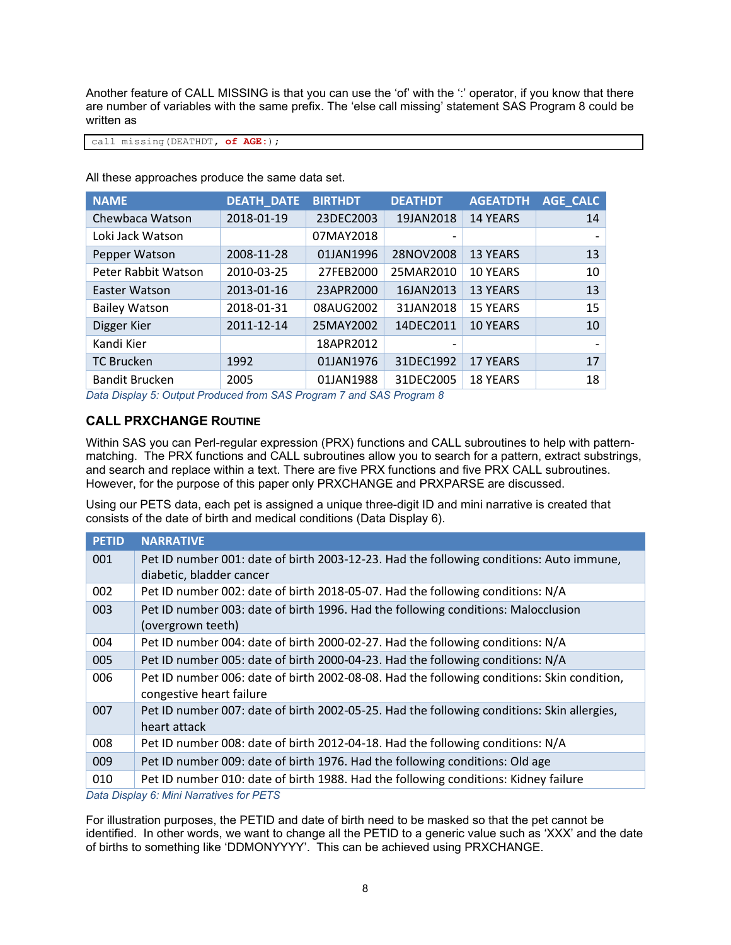Another feature of CALL MISSING is that you can use the 'of' with the ':' operator, if you know that there are number of variables with the same prefix. The 'else call missing' statement [SAS Program 8](#page-6-0) could be written as

call missing(DEATHDT**, of AGE:**);

All these approaches produce the same data set.

| <b>NAME</b>           | <b>DEATH_DATE</b> | <b>BIRTHDT</b> | <b>DEATHDT</b>           | <b>AGEATDTH</b> | <b>AGE_CALC</b> |
|-----------------------|-------------------|----------------|--------------------------|-----------------|-----------------|
| Chewbaca Watson       | 2018-01-19        | 23DEC2003      | 19JAN2018                | <b>14 YEARS</b> | 14              |
| Loki Jack Watson      |                   | 07MAY2018      | $\overline{\phantom{0}}$ |                 |                 |
| Pepper Watson         | 2008-11-28        | 01JAN1996      | 28NOV2008                | <b>13 YEARS</b> | 13              |
| Peter Rabbit Watson   | 2010-03-25        | 27FEB2000      | 25MAR2010                | <b>10 YEARS</b> | 10              |
| Easter Watson         | 2013-01-16        | 23APR2000      | 16JAN2013                | <b>13 YEARS</b> | 13              |
| <b>Bailey Watson</b>  | 2018-01-31        | 08AUG2002      | 31JAN2018                | <b>15 YEARS</b> | 15              |
| Digger Kier           | 2011-12-14        | 25MAY2002      | 14DEC2011                | <b>10 YEARS</b> | 10              |
| Kandi Kier            |                   | 18APR2012      | $\overline{\phantom{0}}$ |                 |                 |
| <b>TC Brucken</b>     | 1992              | 01JAN1976      | 31DEC1992                | <b>17 YEARS</b> | 17              |
| <b>Bandit Brucken</b> | 2005              | 01JAN1988      | 31DEC2005                | <b>18 YEARS</b> | 18              |

*Data Display 5: Output Produced from SAS Program 7 and SAS Program 8*

### **CALL PRXCHANGE ROUTINE**

Within SAS you can Perl-regular expression (PRX) functions and CALL subroutines to help with patternmatching. The PRX functions and CALL subroutines allow you to search for a pattern, extract substrings, and search and replace within a text. There are five PRX functions and five PRX CALL subroutines. However, for the purpose of this paper only PRXCHANGE and PRXPARSE are discussed.

Using our PETS data, each pet is assigned a unique three-digit ID and mini narrative is created that consists of the date of birth and medical conditions [\(Data Display 6\)](#page-7-0).

| <b>PETID</b> | <b>NARRATIVE</b>                                                                           |
|--------------|--------------------------------------------------------------------------------------------|
| 001          | Pet ID number 001: date of birth 2003-12-23. Had the following conditions: Auto immune,    |
|              | diabetic, bladder cancer                                                                   |
| 002          | Pet ID number 002: date of birth 2018-05-07. Had the following conditions: N/A             |
| 003          | Pet ID number 003: date of birth 1996. Had the following conditions: Malocclusion          |
|              | (overgrown teeth)                                                                          |
| 004          | Pet ID number 004: date of birth 2000-02-27. Had the following conditions: N/A             |
| 005          | Pet ID number 005: date of birth 2000-04-23. Had the following conditions: N/A             |
| 006          | Pet ID number 006: date of birth 2002-08-08. Had the following conditions: Skin condition, |
|              | congestive heart failure                                                                   |
| 007          | Pet ID number 007: date of birth 2002-05-25. Had the following conditions: Skin allergies, |
|              | heart attack                                                                               |
| 008          | Pet ID number 008: date of birth 2012-04-18. Had the following conditions: N/A             |
| 009          | Pet ID number 009: date of birth 1976. Had the following conditions: Old age               |
| 010          | Pet ID number 010: date of birth 1988. Had the following conditions: Kidney failure        |

<span id="page-7-0"></span>*Data Display 6: Mini Narratives for PETS*

For illustration purposes, the PETID and date of birth need to be masked so that the pet cannot be identified. In other words, we want to change all the PETID to a generic value such as 'XXX' and the date of births to something like 'DDMONYYYY'. This can be achieved using PRXCHANGE.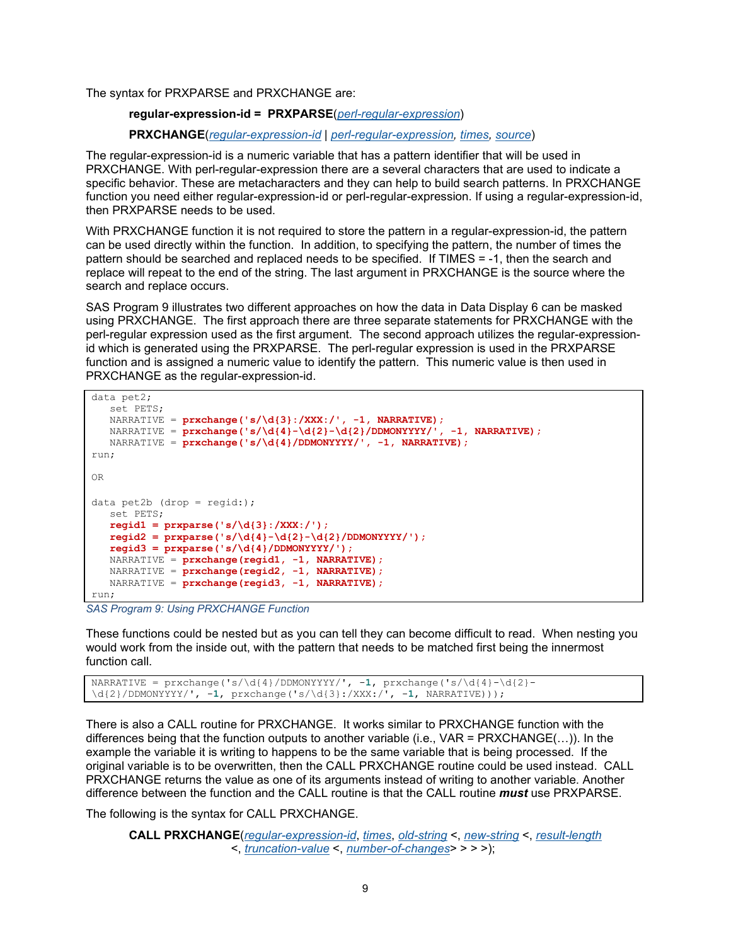The syntax for PRXPARSE and PRXCHANGE are:

#### **regular-expression-id = PRXPARSE**(*perl-regular-expression*)

#### **PRXCHANGE**(*regular-expression-id* | *perl-regular-expression, times, source*)

The regular-expression-id is a numeric variable that has a pattern identifier that will be used in PRXCHANGE. With perl-regular-expression there are a several characters that are used to indicate a specific behavior. These are metacharacters and they can help to build search patterns. In PRXCHANGE function you need either regular-expression-id or perl-regular-expression. If using a regular-expression-id, then PRXPARSE needs to be used.

With PRXCHANGE function it is not required to store the pattern in a regular-expression-id, the pattern can be used directly within the function. In addition, to specifying the pattern, the number of times the pattern should be searched and replaced needs to be specified. If TIMES = -1, then the search and replace will repeat to the end of the string. The last argument in PRXCHANGE is the source where the search and replace occurs.

[SAS Program 9](#page-8-0) illustrates two different approaches on how the data in [Data Display 6](#page-7-0) can be masked using PRXCHANGE. The first approach there are three separate statements for PRXCHANGE with the perl-regular expression used as the first argument. The second approach utilizes the regular-expressionid which is generated using the PRXPARSE. The perl-regular expression is used in the PRXPARSE function and is assigned a numeric value to identify the pattern. This numeric value is then used in PRXCHANGE as the regular-expression-id.

```
data pet2;
    set PETS;
    NARRATIVE = prxchange('s/\d{3}:/XXX:/', -1, NARRATIVE);
   NARRATIVE = prxchange('s/\d{4}-\d{2}-\d{2}/DDMONYYYY/', -1, NARRATIVE);
  NARRATIVE = prxchange('s/\d{4}/DDMONYYYY/', -1, NARRATIVE);
run;
OR
data pet2b (drop = regid:);
   set PETS;
    regid1 = prxparse('s/\d{3}:/XXX:/');
    regid2 = prxparse('s/\d{4}-\d{2}-\d{2}/DDMONYYYY/');
    regid3 = prxparse('s/\d{4}/DDMONYYYY/');
  NARRATIVE = prxchange(regid1, -1, NARRATIVE);
   NARRATIVE = prxchange(regid2, -1, NARRATIVE);NARRATIVE = prxchange(regid3, -1, NARRATIVE);
run;
```
<span id="page-8-0"></span>*SAS Program 9: Using PRXCHANGE Function*

These functions could be nested but as you can tell they can become difficult to read. When nesting you would work from the inside out, with the pattern that needs to be matched first being the innermost function call.

```
NARRATIVE = prxchange('s/\d{4}/DDMONYYYY/', -1, prxchange('s/\d{4}-\d{2}-
\d{2}/DDMONYYYY/', -1, prxchange('s/\d{3}:/XXX:/', -1, NARRATIVE)));
```
There is also a CALL routine for PRXCHANGE. It works similar to PRXCHANGE function with the differences being that the function outputs to another variable (i.e., VAR = PRXCHANGE(…)). In the example the variable it is writing to happens to be the same variable that is being processed. If the original variable is to be overwritten, then the CALL PRXCHANGE routine could be used instead. CALL PRXCHANGE returns the value as one of its arguments instead of writing to another variable. Another difference between the function and the CALL routine is that the CALL routine *must* use PRXPARSE.

The following is the syntax for CALL PRXCHANGE.

```
CALL PRXCHANGE(regular-expression-id, times, old-string <, new-string <, result-length
                  <, truncation-value <, number-of-changes> > > >);
```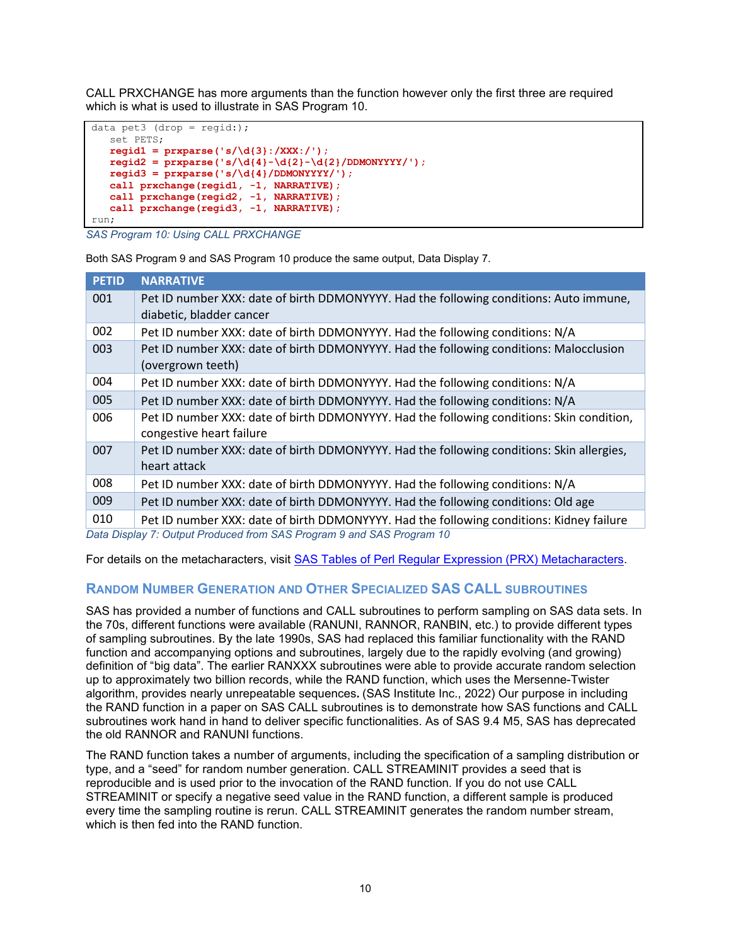CALL PRXCHANGE has more arguments than the function however only the first three are required which is what is used to illustrate in [SAS Program 10.](#page-9-0)

```
data pet3 (drop = regid:);
    set PETS;
    regid1 = prxparse('s/\d{3}:/XXX:/');
    regid2 = prxparse('s/\d{4}-\d{2}-\d{2}/DDMONYYYY/');
    regid3 = prxparse('s/\d{4}/DDMONYYYY/');
    call prxchange(regid1, -1, NARRATIVE);
 call prxchange(regid2, -1, NARRATIVE);
 call prxchange(regid3, -1, NARRATIVE);
run;
```
<span id="page-9-0"></span>*SAS Program 10: Using CALL PRXCHANGE*

Both [SAS Program 9](#page-8-0) an[d SAS Program 10](#page-9-0) produce the same output, [Data Display 7.](#page-9-1)

| <b>PETID</b> | <b>NARRATIVE</b>                                                                                                      |
|--------------|-----------------------------------------------------------------------------------------------------------------------|
| 001          | Pet ID number XXX: date of birth DDMONYYYY. Had the following conditions: Auto immune,<br>diabetic, bladder cancer    |
| 002          | Pet ID number XXX: date of birth DDMONYYYY. Had the following conditions: N/A                                         |
| 003          | Pet ID number XXX: date of birth DDMONYYYY. Had the following conditions: Malocclusion<br>(overgrown teeth)           |
| 004          | Pet ID number XXX: date of birth DDMONYYYY. Had the following conditions: N/A                                         |
| 005          | Pet ID number XXX: date of birth DDMONYYYY. Had the following conditions: N/A                                         |
| 006          | Pet ID number XXX: date of birth DDMONYYYY. Had the following conditions: Skin condition,<br>congestive heart failure |
| 007          | Pet ID number XXX: date of birth DDMONYYYY. Had the following conditions: Skin allergies,<br>heart attack             |
| 008          | Pet ID number XXX: date of birth DDMONYYYY. Had the following conditions: N/A                                         |
| 009          | Pet ID number XXX: date of birth DDMONYYYY. Had the following conditions: Old age                                     |
| 010          | Pet ID number XXX: date of birth DDMONYYYY. Had the following conditions: Kidney failure                              |
|              | Deta Dienley 7: Output Dreduced from CAC Dreaman Cond CAC Dreaman 10                                                  |

<span id="page-9-1"></span>*Data Display 7: Output Produced from SAS Program 9 and SAS Program 10*

For details on the metacharacters, visit [SAS Tables of Perl Regular Expression \(PRX\) Metacharacters.](https://documentation.sas.com/doc/en/pgmsascdc/9.4_3.2/lefunctionsref/p0s9ilagexmjl8n1u7e1t1jfnzlk.htm)

# **RANDOM NUMBER GENERATION AND OTHER SPECIALIZED SAS CALL SUBROUTINES**

SAS has provided a number of functions and CALL subroutines to perform sampling on SAS data sets. In the 70s, different functions were available (RANUNI, RANNOR, RANBIN, etc.) to provide different types of sampling subroutines. By the late 1990s, SAS had replaced this familiar functionality with the RAND function and accompanying options and subroutines, largely due to the rapidly evolving (and growing) definition of "big data". The earlier RANXXX subroutines were able to provide accurate random selection up to approximately two billion records, while the RAND function, which uses the Mersenne-Twister algorithm, provides nearly unrepeatable sequences**.** (SAS Institute Inc., 2022) Our purpose in including the RAND function in a paper on SAS CALL subroutines is to demonstrate how SAS functions and CALL subroutines work hand in hand to deliver specific functionalities. As of SAS 9.4 M5, SAS has deprecated the old RANNOR and RANUNI functions.

The RAND function takes a number of arguments, including the specification of a sampling distribution or type, and a "seed" for random number generation. CALL STREAMINIT provides a seed that is reproducible and is used prior to the invocation of the RAND function. If you do not use CALL STREAMINIT or specify a negative seed value in the RAND function, a different sample is produced every time the sampling routine is rerun. CALL STREAMINIT generates the random number stream, which is then fed into the RAND function.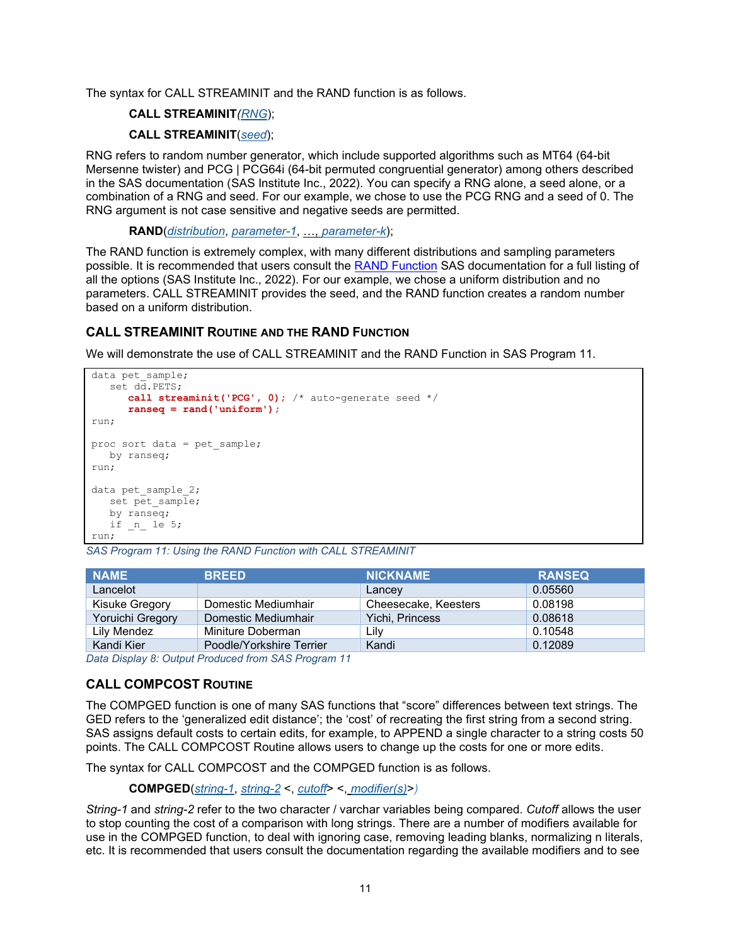The syntax for CALL STREAMINIT and the RAND function is as follows.

### **CALL STREAMINIT***(RNG*);

### **CALL STREAMINIT**(*seed*);

RNG refers to random number generator, which include supported algorithms such as MT64 (64-bit Mersenne twister) and PCG | PCG64i (64-bit permuted congruential generator) among others described in the SAS documentation (SAS Institute Inc., 2022). You can specify a RNG alone, a seed alone, or a combination of a RNG and seed. For our example, we chose to use the PCG RNG and a seed of 0. The RNG argument is not case sensitive and negative seeds are permitted.

**RAND**(*distribution*, *parameter-1*, …, *parameter-k*);

The RAND function is extremely complex, with many different distributions and sampling parameters possible. It is recommended that users consult the [RAND Function](https://documentation.sas.com/doc/en/pgmsascdc/9.4_3.2/lefunctionsref/p0fpeei0opypg8n1b06qe4r040lv.htm) SAS documentation for a full listing of all the options (SAS Institute Inc., 2022). For our example, we chose a uniform distribution and no parameters. CALL STREAMINIT provides the seed, and the RAND function creates a random number based on a uniform distribution.

## **CALL STREAMINIT ROUTINE AND THE RAND FUNCTION**

We will demonstrate the use of CALL STREAMINIT and the RAND Function in [SAS Program 11.](#page-10-0)

```
data pet sample;
    set dd.PETS;
       call streaminit('PCG', 0); /* auto-generate seed */
       ranseq = rand('uniform'); 
run;
proc sort data = pet_sample;
   by ranseq;
run;
data pet sample 2;
  set pet sample;
   by ranseq;
  if _n le 5;
run;
```
<span id="page-10-0"></span>*SAS Program 11: Using the RAND Function with CALL STREAMINIT*

| <b>NAME</b>      | <b>BREED</b>             | <b>NICKNAME</b>      | <b>RANSEQ</b> |
|------------------|--------------------------|----------------------|---------------|
| Lancelot         |                          | Lancey               | 0.05560       |
| Kisuke Gregory   | Domestic Mediumhair      | Cheesecake, Keesters | 0.08198       |
| Yoruichi Gregory | Domestic Mediumhair      | Yichi, Princess      | 0.08618       |
| Lily Mendez      | Miniture Doberman        | Lily                 | 0.10548       |
| Kandi Kier       | Poodle/Yorkshire Terrier | Kandi                | 0.12089       |

*Data Display 8: Output Produced from SAS Program 11*

## **CALL COMPCOST ROUTINE**

The COMPGED function is one of many SAS functions that "score" differences between text strings. The GED refers to the 'generalized edit distance'; the 'cost' of recreating the first string from a second string. SAS assigns default costs to certain edits, for example, to APPEND a single character to a string costs 50 points. The CALL COMPCOST Routine allows users to change up the costs for one or more edits.

The syntax for CALL COMPCOST and the COMPGED function is as follows.

**COMPGED**(*string-1*, *string-2* <, *cutoff*> <, *modifier(s)*>*)*

*String-1* and *string-2* refer to the two character / varchar variables being compared. *Cutoff* allows the user to stop counting the cost of a comparison with long strings. There are a number of modifiers available for use in the COMPGED function, to deal with ignoring case, removing leading blanks, normalizing n literals, etc. It is recommended that users consult the documentation regarding the available modifiers and to see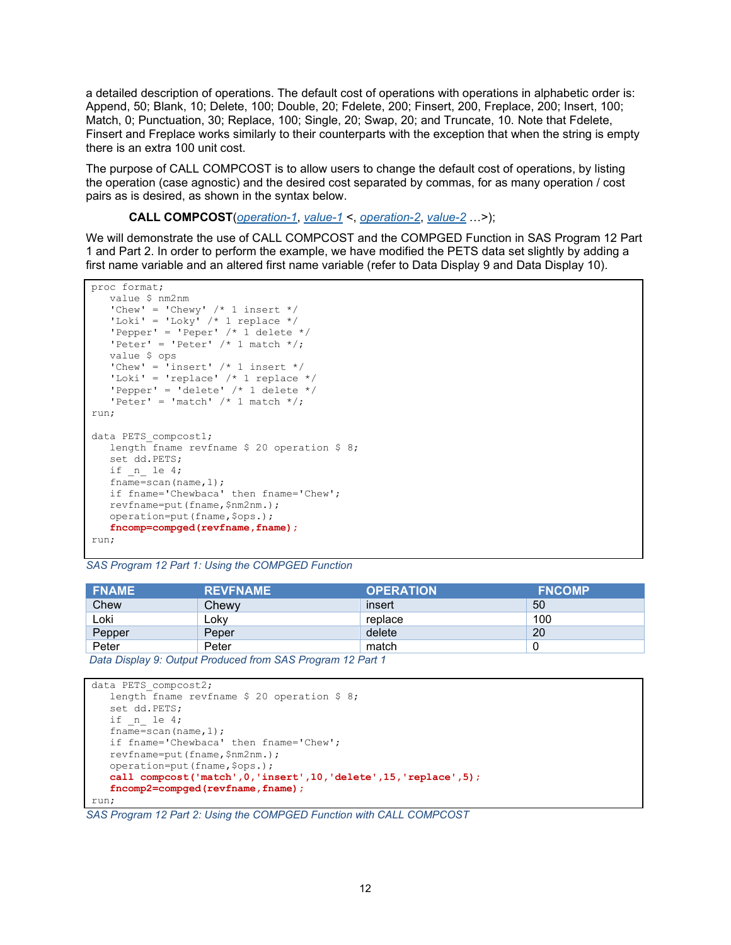a detailed description of operations. The default cost of operations with operations in alphabetic order is: Append, 50; Blank, 10; Delete, 100; Double, 20; Fdelete, 200; Finsert, 200, Freplace, 200; Insert, 100; Match, 0; Punctuation, 30; Replace, 100; Single, 20; Swap, 20; and Truncate, 10. Note that Fdelete, Finsert and Freplace works similarly to their counterparts with the exception that when the string is empty there is an extra 100 unit cost.

The purpose of CALL COMPCOST is to allow users to change the default cost of operations, by listing the operation (case agnostic) and the desired cost separated by commas, for as many operation / cost pairs as is desired, as shown in the syntax below.

**CALL COMPCOST**(*operation-1*, *value-1* <, *operation-2*, *value-2* …>);

We will demonstrate the use of CALL COMPCOST and the COMPGED Function in [SAS Program 12](#page-11-0) Part 1 and Part 2. In order to perform the example, we have modified the PETS data set slightly by adding a first name variable and an altered first name variable (refer to [Data Display 9](#page-11-1) and [Data Display 10\)](#page-12-0).

```
proc format;
    value $ nm2nm
   'Chew' = 'Chewy' /* 1 insert */'Loki' = 'Loky' /* 1 replace */'Pepper' = 'Peper' /* 1 delete */'Peter' = 'Peter' /* 1 match */; value $ ops
   'Chew' = 'insert' /* 1 insert */
   'Loki' = 'replace' /* 1 replace */'Pepper' = 'delete' /* 1 delete */
   'Peter' = 'match' /\star 1 match \star/;
run;
data PETS compcost1;
    length fname revfname $ 20 operation $ 8;
    set dd.PETS;
   if n le 4;
   fname=scan(name,1);
    if fname='Chewbaca' then fname='Chew';
    revfname=put(fname,$nm2nm.);
    operation=put(fname,$ops.);
    fncomp=compged(revfname,fname);
run;
```
<span id="page-11-0"></span>*SAS Program 12 Part 1: Using the COMPGED Function*

| <b>FNAME</b> | <b>REVENAME</b> | <b>OPERATION</b> | <b>FNCOMP</b> |
|--------------|-----------------|------------------|---------------|
| Chew         | Chewy           | insert           | 50            |
| ∟oki         | Loky            | replace          | 100           |
| Pepper       | Peper           | delete           | 20            |
| Peter        | Peter           | match            |               |

<span id="page-11-1"></span>*Data Display 9: Output Produced from SAS Program 12 Part 1*

```
data PETS compcost2;
   length fname revfname $ 20 operation $ 8; set dd.PETS;
   if n_ le 4;
    fname=scan(name,1);
    if fname='Chewbaca' then fname='Chew';
   revfname=put(fname,$nm2nm.);
   operation=put(fname,$ops.);
    call compcost('match',0,'insert',10,'delete',15,'replace',5);
    fncomp2=compged(revfname,fname);
run;
```
*SAS Program 12 Part 2: Using the COMPGED Function with CALL COMPCOST*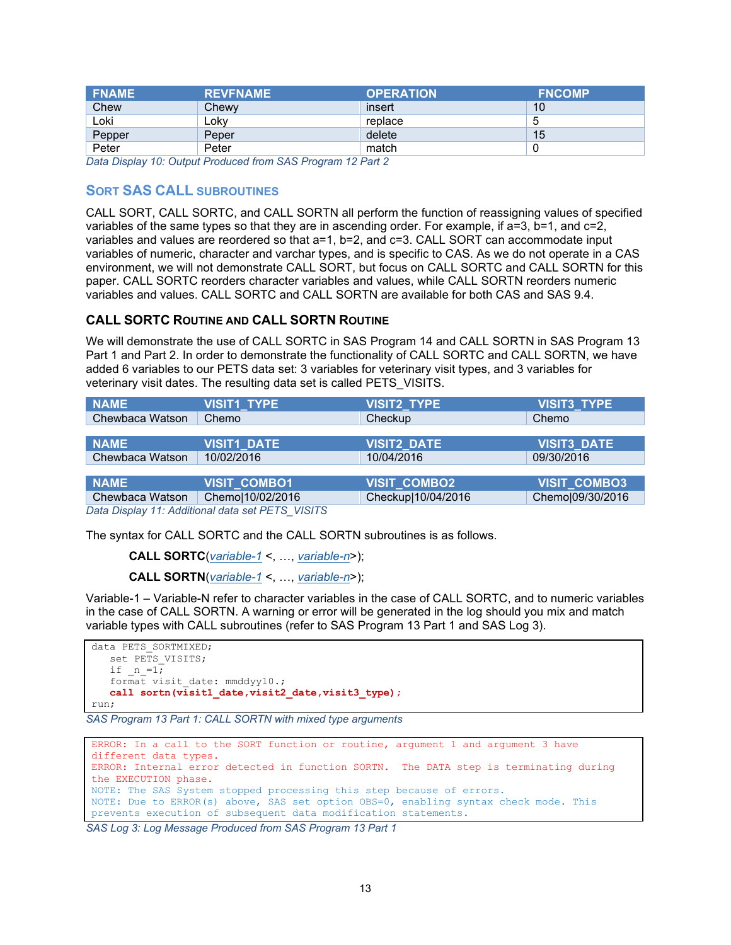| <b>FNAME</b> | <b>REVFNAME</b> | <b>OPERATION</b> | <b>FNCOMP</b> |
|--------------|-----------------|------------------|---------------|
| Chew         | Chewy           | insert           | 10            |
| ∟oki         | Loky            | replace          | 5             |
| Pepper       | Peper           | delete           | 15            |
| Peter        | Peter           | match            |               |

<span id="page-12-0"></span>*Data Display 10: Output Produced from SAS Program 12 Part 2*

## **SORT SAS CALL SUBROUTINES**

CALL SORT, CALL SORTC, and CALL SORTN all perform the function of reassigning values of specified variables of the same types so that they are in ascending order. For example, if a=3, b=1, and c=2, variables and values are reordered so that a=1, b=2, and c=3. CALL SORT can accommodate input variables of numeric, character and varchar types, and is specific to CAS. As we do not operate in a CAS environment, we will not demonstrate CALL SORT, but focus on CALL SORTC and CALL SORTN for this paper. CALL SORTC reorders character variables and values, while CALL SORTN reorders numeric variables and values. CALL SORTC and CALL SORTN are available for both CAS and SAS 9.4.

### **CALL SORTC ROUTINE AND CALL SORTN ROUTINE**

We will demonstrate the use of CALL SORTC in [SAS Program 14](#page-13-0) and CALL SORTN in [SAS Program 13](#page-12-1) Part 1 and Part 2. In order to demonstrate the functionality of CALL SORTC and CALL SORTN, we have added 6 variables to our PETS data set: 3 variables for veterinary visit types, and 3 variables for veterinary visit dates. The resulting data set is called PETS\_VISITS.

| <b>NAME</b>                                      | <b>VISIT1_TYPE</b>  | <b>VISIT2_TYPE</b>  | VISIT3_TYPE        |  |
|--------------------------------------------------|---------------------|---------------------|--------------------|--|
| Chewbaca Watson                                  | Chemo               | Checkup             | Chemo              |  |
|                                                  |                     |                     |                    |  |
| <b>NAME</b>                                      | <b>VISIT1_DATE</b>  | <b>VISIT2_DATE</b>  | <b>VISIT3_DATE</b> |  |
| Chewbaca Watson                                  | 10/02/2016          | 10/04/2016          | 09/30/2016         |  |
|                                                  |                     |                     |                    |  |
| <b>NAME</b>                                      | <b>VISIT COMBO1</b> | <b>VISIT_COMBO2</b> | VISIT_COMBO3       |  |
| Chewbaca Watson                                  | Chemo 10/02/2016    | Checkup 10/04/2016  | Chemo 09/30/2016   |  |
| Data Display 11: Additional data set PETS VISITS |                     |                     |                    |  |

*Data Display 11: Additional data set PETS\_VISITS*

The syntax for CALL SORTC and the CALL SORTN subroutines is as follows.

```
CALL SORTC(variable-1 <, …, variable-n>);
```

```
CALL SORTN(variable-1 <, …, variable-n>);
```
Variable-1 – Variable-N refer to character variables in the case of CALL SORTC, and to numeric variables in the case of CALL SORTN. A warning or error will be generated in the log should you mix and match variable types with CALL subroutines (refer to [SAS Program 13](#page-12-1) Part 1 and [SAS Log 3\)](#page-12-2).

```
data PETS_SORTMIXED;
  set PETS VISITS;
   if n=1;format visit date: mmddyy10.; call sortn(visit1_date,visit2_date,visit3_type);
run;
```

```
SAS Program 13 Part 1: CALL SORTN with mixed type arguments
```

```
ERROR: In a call to the SORT function or routine, argument 1 and argument 3 have 
different data types.
ERROR: Internal error detected in function SORTN. The DATA step is terminating during 
the EXECUTION phase.
NOTE: The SAS System stopped processing this step because of errors.
NOTE: Due to ERROR(s) above, SAS set option OBS=0, enabling syntax check mode. This 
prevents execution of subsequent data modification statements.
```
<span id="page-12-2"></span>*SAS Log 3: Log Message Produced from [SAS Program 13](#page-12-1) Part 1*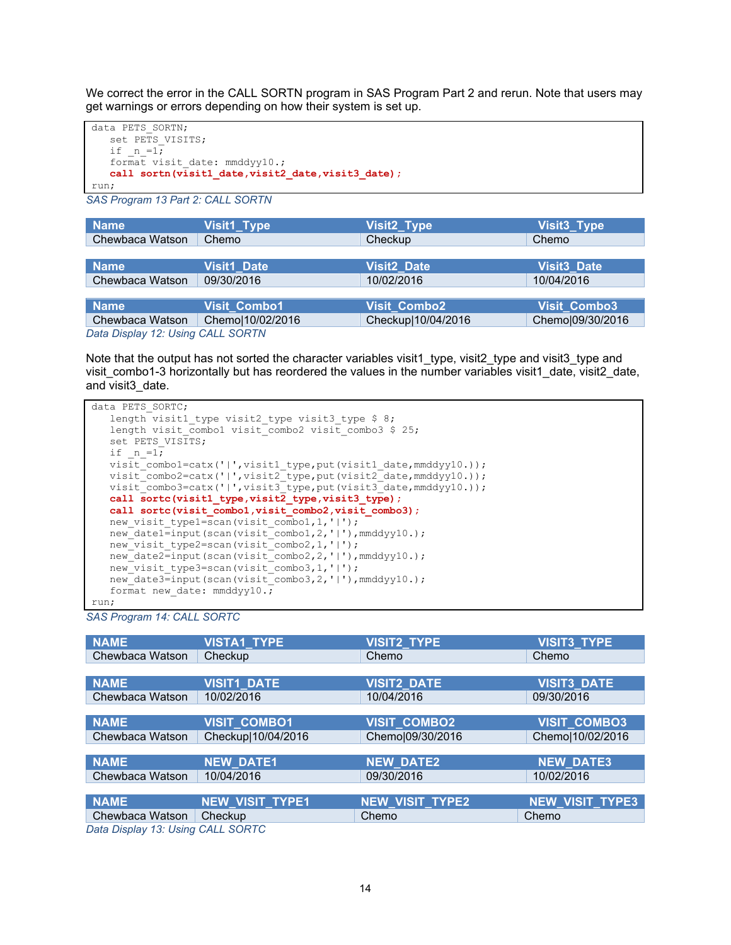We correct the error in the CALL SORTN program in SAS Program Part 2 and rerun. Note that users may get warnings or errors depending on how their system is set up.

```
data PETS_SORTN;
   set PETS VISITS;
   if n=1; format visit_date: mmddyy10.;
    call sortn(visit1_date,visit2_date,visit3_date);
run;
```
*SAS Program 13 Part 2: CALL SORTN*

| <b>Name</b>                       | Visit1_Type         | Visit2_Type         | Visit3_Type              |  |
|-----------------------------------|---------------------|---------------------|--------------------------|--|
| Chewbaca Watson                   | Chemo               | Checkup             | Chemo                    |  |
|                                   |                     |                     |                          |  |
| <b>Name</b>                       | <b>Visit1_Date</b>  | <b>Visit2_Date</b>  | Visit <sub>3</sub> _Date |  |
| Chewbaca Watson                   | 09/30/2016          | 10/02/2016          | 10/04/2016               |  |
|                                   |                     |                     |                          |  |
| <b>Name</b>                       | <b>Visit Combo1</b> | <b>Visit Combo2</b> | <b>Visit Combo3</b>      |  |
| Chewbaca Watson                   | Chemo 10/02/2016    | Checkup 10/04/2016  | Chemo 09/30/2016         |  |
| Data Dienlow 12: Heina CALL SODTN |                     |                     |                          |  |

*Data Display 12: Using CALL SORTN*

Note that the output has not sorted the character variables visit1 type, visit2 type and visit3 type and visit\_combo1-3 horizontally but has reordered the values in the number variables visit1\_date, visit2\_date, and visit3\_date.

```
data PETS SORTC;
   length visit1 type visit2 type visit3 type $ 8;
   length visit_combo1 visit_combo2 visit_combo3 $ 25;
   set PETS VISITS;
   if n=1;visit_combo1=catx('|',visit1_type,put(visit1_date,mmddyy10.));
   visit_combo2=catx('|',visit2_type,put(visit2_date,mmddyy10.));
   visit_combo3=catx('|',visit3_type,put(visit3_date,mmddyy10.));
    call sortc(visit1_type,visit2_type,visit3_type);
   call sortc(visit_combo1,visit_combo2,visit_combo3);
  new visit type1=scan(visit combo1,1,'|');
  n = -1<br>new_date1=input(scan(visit_combo1,2,'|'),mmddyy10.);
  new_visit_type2=scan(visit_combo2,1,'|');
   new_date2=input(scan(visit_combo2,2,'|'),mmddyy10.);
   new_visit_type3=scan(visit_combo3,1,'|');
   new date3=input(scan(visit combo3,2,'|'),mmddyy10.);
    format new_date: mmddyy10.; 
run;
```
<span id="page-13-0"></span>*SAS Program 14: CALL SORTC*

| <b>NAME</b>                       | <b>VISTA1_TYPE</b> | <b>VISIT2_TYPE</b>  | <b>VISIT3_TYPE</b>     |  |
|-----------------------------------|--------------------|---------------------|------------------------|--|
| Chewbaca Watson                   | Checkup            | Chemo               | Chemo                  |  |
|                                   |                    |                     |                        |  |
| <b>NAME</b>                       | <b>VISIT1_DATE</b> | <b>VISIT2_DATE</b>  | <b>VISIT3_DATE</b>     |  |
| Chewbaca Watson                   | 10/02/2016         | 10/04/2016          | 09/30/2016             |  |
|                                   |                    |                     |                        |  |
| <b>NAME</b>                       | VISIT_COMBO1       | <b>VISIT COMBO2</b> | <b>VISIT COMBO3</b>    |  |
| Chewbaca Watson                   | Checkup 10/04/2016 | Chemo 09/30/2016    | Chemo 10/02/2016       |  |
|                                   |                    |                     |                        |  |
| <b>NAME</b>                       | <b>NEW DATE1</b>   | <b>NEW_DATE2</b>    | <b>NEW DATE3</b>       |  |
| Chewbaca Watson                   | 10/04/2016         | 09/30/2016          | 10/02/2016             |  |
|                                   |                    |                     |                        |  |
| <b>NAME</b>                       | NEW_VISIT_TYPE1    | NEW_VISIT_TYPE2     | <b>NEW_VISIT_TYPE3</b> |  |
| Chewbaca Watson                   | Checkup            | Chemo               | Chemo                  |  |
| Data Dinclude (A0.11) and (C0.77) |                    |                     |                        |  |

*Data Display 13: Using CALL SORTC*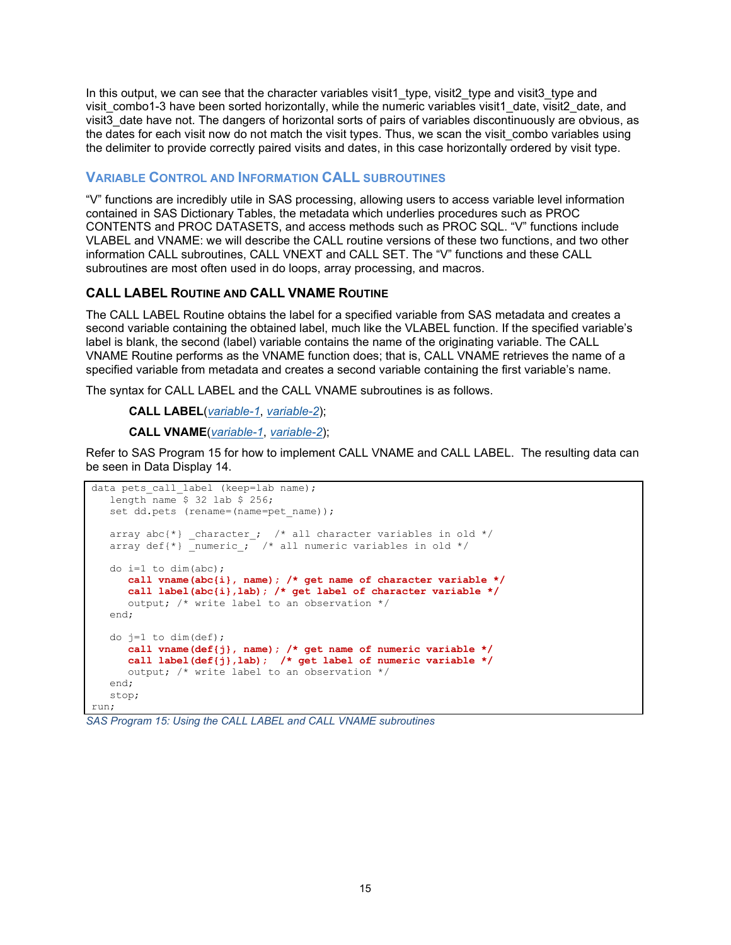In this output, we can see that the character variables visit1 type, visit2 type and visit3 type and visit\_combo1-3 have been sorted horizontally, while the numeric variables visit1\_date, visit2\_date, and visit3 date have not. The dangers of horizontal sorts of pairs of variables discontinuously are obvious, as the dates for each visit now do not match the visit types. Thus, we scan the visit combo variables using the delimiter to provide correctly paired visits and dates, in this case horizontally ordered by visit type.

## **VARIABLE CONTROL AND INFORMATION CALL SUBROUTINES**

"V" functions are incredibly utile in SAS processing, allowing users to access variable level information contained in SAS Dictionary Tables, the metadata which underlies procedures such as PROC CONTENTS and PROC DATASETS, and access methods such as PROC SQL. "V" functions include VLABEL and VNAME: we will describe the CALL routine versions of these two functions, and two other information CALL subroutines, CALL VNEXT and CALL SET. The "V" functions and these CALL subroutines are most often used in do loops, array processing, and macros.

## **CALL LABEL ROUTINE AND CALL VNAME ROUTINE**

The CALL LABEL Routine obtains the label for a specified variable from SAS metadata and creates a second variable containing the obtained label, much like the VLABEL function. If the specified variable's label is blank, the second (label) variable contains the name of the originating variable. The CALL VNAME Routine performs as the VNAME function does; that is, CALL VNAME retrieves the name of a specified variable from metadata and creates a second variable containing the first variable's name.

The syntax for CALL LABEL and the CALL VNAME subroutines is as follows.

**CALL LABEL**(*variable-1*, *variable-2*);

**CALL VNAME**(*variable-1*, *variable-2*);

Refer to [SAS Program 15](#page-14-0) for how to implement CALL VNAME and CALL LABEL. The resulting data can be seen in [Data Display 14.](#page-15-0)

```
data pets call label (keep=lab name);
    length name $ 32 lab $ 256;
   set dd.pets (rename=(name=pet name));
   array abc\{\star\} _character_; /* all character variables in old */
  array def{*} _{\text{numeric}}; /* all numeric variables in old */
   do i=1 to dim(abc);
 call vname(abc{i}, name); /* get name of character variable */ 
 call label(abc{i},lab); /* get label of character variable */
       output; /* write label to an observation */ 
    end;
   do j=1 to dim(det);
       call vname(def{j}, name); /* get name of numeric variable */
       call label(def{j},lab); /* get label of numeric variable */
       output; /* write label to an observation */ 
    end;
    stop;
run;
```

```
SAS Program 15: Using the CALL LABEL and CALL VNAME subroutines
```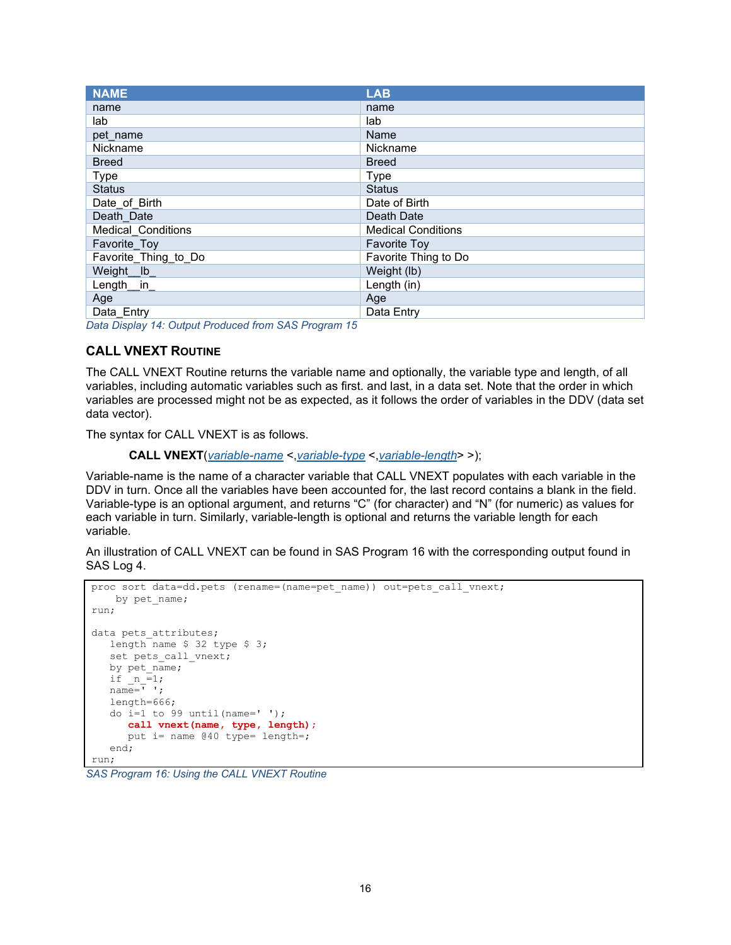| <b>NAME</b>               | <b>LAB</b>                |
|---------------------------|---------------------------|
| name                      | name                      |
| lab                       | lab                       |
| pet name                  | Name                      |
| Nickname                  | Nickname                  |
| <b>Breed</b>              | <b>Breed</b>              |
| <b>Type</b>               | Type                      |
| <b>Status</b>             | <b>Status</b>             |
| Date of Birth             | Date of Birth             |
| Death Date                | Death Date                |
| <b>Medical Conditions</b> | <b>Medical Conditions</b> |
| Favorite_Toy              | <b>Favorite Toy</b>       |
| Favorite Thing to Do      | Favorite Thing to Do      |
| Weight_lb_                | Weight (lb)               |
| Length $_{\text{in}}$     | Length (in)               |
| Age                       | Age                       |
| Data Entry                | Data Entry                |

<span id="page-15-0"></span>*Data Display 14: Output Produced fro[m SAS Program 15](#page-14-0)*

### **CALL VNEXT ROUTINE**

The CALL VNEXT Routine returns the variable name and optionally, the variable type and length, of all variables, including automatic variables such as first. and last, in a data set. Note that the order in which variables are processed might not be as expected, as it follows the order of variables in the DDV (data set data vector).

The syntax for CALL VNEXT is as follows.

**CALL VNEXT**(*variable-name* <,*variable-type* <,*variable-length*> >);

Variable-name is the name of a character variable that CALL VNEXT populates with each variable in the DDV in turn. Once all the variables have been accounted for, the last record contains a blank in the field. Variable-type is an optional argument, and returns "C" (for character) and "N" (for numeric) as values for each variable in turn. Similarly, variable-length is optional and returns the variable length for each variable.

An illustration of CALL VNEXT can be found in [SAS Program 16](#page-15-1) with the corresponding output found in [SAS Log 4.](#page-16-0)

```
proc sort data=dd.pets (rename=(name=pet name)) out=pets call vnext;
    by pet name;
run;
data pets attributes;
  length name $ 32 type $ 3;
   set pets call vnext;
   by pet name;if n=1;
  name="{'} length=666;
   do i=1 to 99 until(name=' ');
       call vnext(name, type, length);
       put i= name @40 type= length=;
    end;
run;
```
<span id="page-15-1"></span>*SAS Program 16: Using the CALL VNEXT Routine*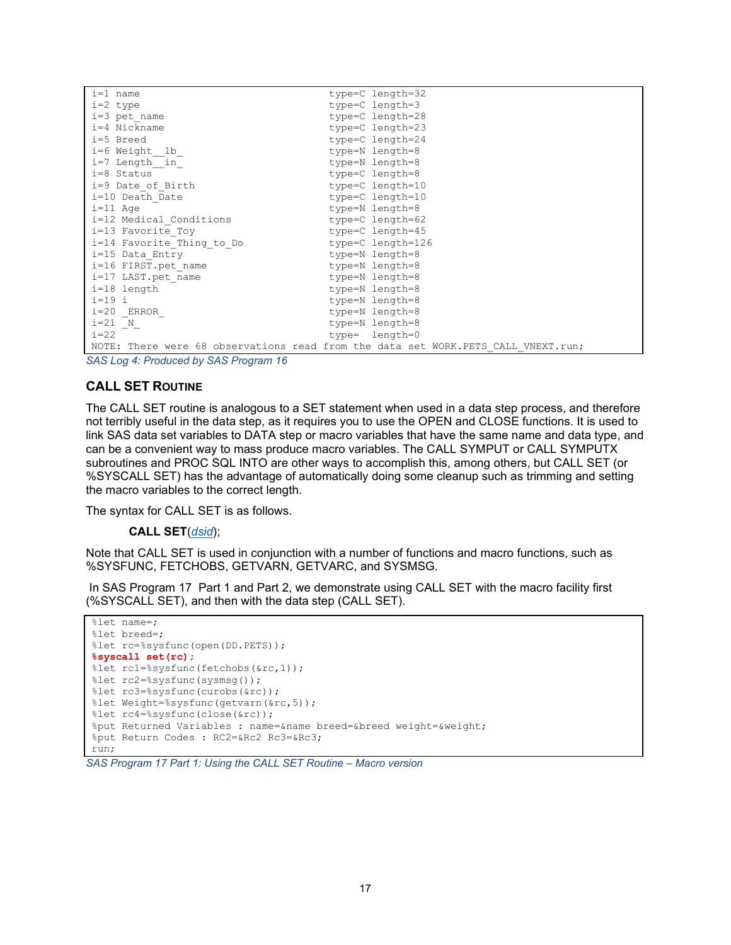| $i=1$ name                | type=C length=32                                                                    |
|---------------------------|-------------------------------------------------------------------------------------|
| $i=2$ type                | type=C length=3                                                                     |
| $i=3$ pet name            | type=C length=28                                                                    |
| i=4 Nickname              | type=C length=23                                                                    |
| i=5 Breed                 | type=C length=24                                                                    |
| i=6 Weight lb             | type=N length=8                                                                     |
| i=7 Length in             | type=N length=8                                                                     |
| i=8 Status                | type=C length=8                                                                     |
| i=9 Date of Birth         | type=C length=10                                                                    |
| i=10 Death Date           | type=C length=10                                                                    |
| $i=11$ Age                | type=N length=8                                                                     |
| i=12 Medical Conditions   | type=C length=62                                                                    |
| i=13 Favorite Toy         | type=C length=45                                                                    |
| i=14 Favorite Thing to Do | type=C length=126                                                                   |
| i=15 Data Entry           | type=N length=8                                                                     |
| i=16 FIRST.pet name       | type=N length=8                                                                     |
| i=17 LAST.pet name        | type=N length=8                                                                     |
| i=18 length               | type=N length=8                                                                     |
| $i=19$ i                  | type=N length=8                                                                     |
| $i=20$ ERROR              | type=N length=8                                                                     |
| $i=21$ N                  | type=N length=8                                                                     |
| $i=22$                    | type= length=0                                                                      |
|                           | NOTE: There were 68 observations read from the data set WORK. PETS CALL VNEXT. run; |

<span id="page-16-0"></span>*SAS Log 4: Produced by [SAS Program 16](#page-15-1)*

#### **CALL SET ROUTINE**

The CALL SET routine is analogous to a SET statement when used in a data step process, and therefore not terribly useful in the data step, as it requires you to use the OPEN and CLOSE functions. It is used to link SAS data set variables to DATA step or macro variables that have the same name and data type, and can be a convenient way to mass produce macro variables. The CALL SYMPUT or CALL SYMPUTX subroutines and PROC SQL INTO are other ways to accomplish this, among others, but CALL SET (or %SYSCALL SET) has the advantage of automatically doing some cleanup such as trimming and setting the macro variables to the correct length.

The syntax for CALL SET is as follows.

**CALL SET**(*dsid*);

Note that CALL SET is used in conjunction with a number of functions and macro functions, such as %SYSFUNC, FETCHOBS, GETVARN, GETVARC, and SYSMSG.

In [SAS Program 17](#page-16-1) Part 1 and Part 2, we demonstrate using CALL SET with the macro facility first (%SYSCALL SET), and then with the data step (CALL SET).

```
%let name=;
%let breed=;
%let rc=%sysfunc(open(DD.PETS));
%syscall set(rc);
%let rc1=%sysfunc(fetchobs(&rc,1));
%let rc2=%sysfunc(sysmsg()); 
%let rc3=%sysfunc(curobs(&rc));
%let Weight=%sysfunc(getvarn(&rc,5));
%let rc4=%sysfunc(close(&rc));
%put Returned Variables : name=&name breed=&breed weight=&weight;
%put Return Codes : RC2=&Rc2 Rc3=&Rc3;
run;
```
#### <span id="page-16-1"></span>*SAS Program 17 Part 1: Using the CALL SET Routine – Macro version*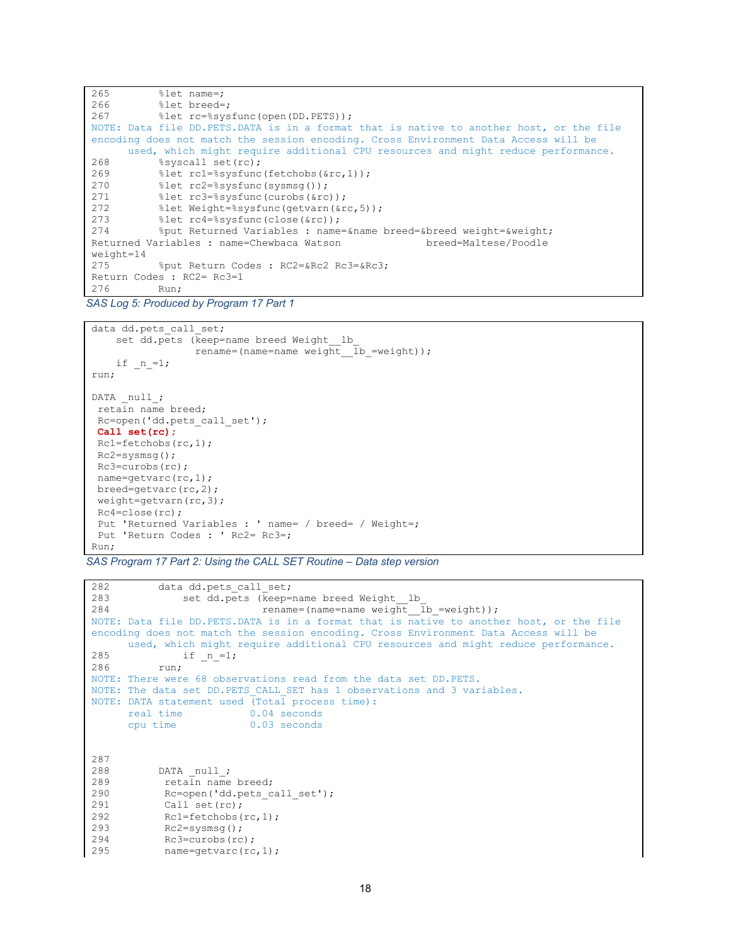```
265 %let name=;<br>266 %let breed=
266 %let breed=;<br>267 %let rc=%sys
               %let rc=%sysfunc(open(DD.PETS));
NOTE: Data file DD.PETS.DATA is in a format that is native to another host, or the file 
encoding does not match the session encoding. Cross Environment Data Access will be 
used, which might require additional CPU resources and might reduce performance.<br>268 8syscall set (rc):
268 %syscall set(rc);
269 % let rc1=%sysfunc(fetchobs(&rc,1));<br>270 % let rc2=%sysfunc(sysmsq());
270 % let rc2=% sysfunc(sysmsg());<br>271 % let rc3=% sysfunc(curobs(&rc
271 % let rc3=%sysfunc(curobs(&rc));<br>272 % let Weight=%sysfunc(getyarn(&r
272 % let Weight=%sysfunc(getvarn(&rc,5));<br>273 % let rc4=%sysfunc(close(&rc));
273 %let rc4=%sysfunc(close(&rc));<br>274 % but Returned Variables : name
               %put Returned Variables : name=&name breed=&breed weight=&weight;<br>ariables : name=Chewbaca Watson breed=Maltese/Poodle
Returned Variables : name=Chewbaca Watson
weight=14<br>275
               275 %put Return Codes : RC2=&Rc2 Rc3=&Rc3;
Return Codes : RC2= Rc3=1<br>276 Run:
              Run:
```
*SAS Log 5: Produced by Program 17 Part 1* 

```
data dd.pets_call_set;
   set dd.pets (keep=name breed Weight_lb
                 rename=(name=name weight \overline{1}b =weight));
    if n=1;run;
DATA null;
 retain name breed;
Rc=open('dd.pets_call_set');
Call set(rc);
Rc1=fetchobs(rc,1);
Rc2=sysmsg();
Rc3=curobs(rc); 
 name=getvarc(rc,1);
breed=getvarc(rc,2);
weight=getvarn(rc,3);
Rc4=close(rc);
 Put 'Returned Variables : ' name= / breed= / Weight=;
 Put 'Return Codes : ' Rc2= Rc3=;
Run;
```
*SAS Program 17 Part 2: Using the CALL SET Routine – Data step version* 

```
282 data dd.pets_call_set;<br>283 set dd.pets (keep=
283 set dd.pets (keep=name breed Weight_lb_<br>284 sename=(name=name weight)
                                   rename=(name=name weight lb =weight));
NOTE: Data file DD.PETS.DATA is in a format that is native to another host, or the file 
encoding does not match the session encoding. Cross Environment Data Access will be 
used, which might require additional CPU resources and might reduce performance.<br>285 \qquad if n =1:
285 if n=1;<br>286 run:
             run;
NOTE: There were 68 observations read from the data set DD.PETS.
NOTE: The data set DD. PETS CALL SET has 1 observations and 3 variables.
NOTE: DATA statement used (Total process time):<br>real time 0.04 seconds
       real time 0.04 seconds<br>cpu time 0.03 seconds
                                0.03 seconds
287 
288 DATA _null_;<br>289 retain name
289 retain name breed;<br>290 Rc=open('dd.pets c
290 Rc=open('dd.pets_call_set');<br>291 Call set(rc);
291 Call set(rc);<br>292 Rc1=fetchobs(
292 Rc1=fetchobs(rc,1);<br>293 Rc2=sysmsq();
293 Rc2=sysmsg();<br>294 Rc3=curobs(rc
294 Rc3=curobs(rc);<br>295 name=qetvarc(rc
              name=getvarc(rc,1);
```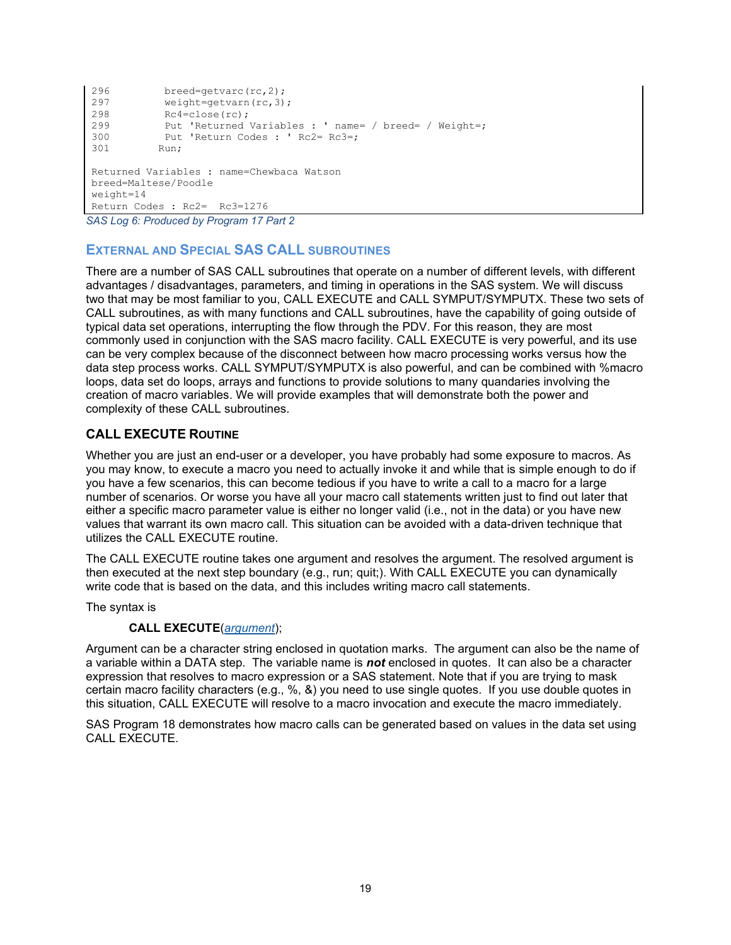```
296 breed=getvarc(rc, 2);<br>297 weight=getvarn(rc, 3)
297 weight=getvarn(rc, 3);<br>298 Rc4=close(rc);
298 Rc4=close(rc);<br>299 Put 'Returned
299 Put 'Returned Variables : ' name= / breed= / Weight=;<br>300 Put 'Return Codes : ' Rc2= Rc3=:
300 Put 'Return Codes : 'Rc2= Rc3=;<br>301 Run;
              Run:
Returned Variables : name=Chewbaca Watson
breed=Maltese/Poodle
weight=14
Return Codes : Rc2= Rc3=1276
```
*SAS Log 6: Produced by Program 17 Part 2* 

## **EXTERNAL AND SPECIAL SAS CALL SUBROUTINES**

There are a number of SAS CALL subroutines that operate on a number of different levels, with different advantages / disadvantages, parameters, and timing in operations in the SAS system. We will discuss two that may be most familiar to you, CALL EXECUTE and CALL SYMPUT/SYMPUTX. These two sets of CALL subroutines, as with many functions and CALL subroutines, have the capability of going outside of typical data set operations, interrupting the flow through the PDV. For this reason, they are most commonly used in conjunction with the SAS macro facility. CALL EXECUTE is very powerful, and its use can be very complex because of the disconnect between how macro processing works versus how the data step process works. CALL SYMPUT/SYMPUTX is also powerful, and can be combined with %macro loops, data set do loops, arrays and functions to provide solutions to many quandaries involving the creation of macro variables. We will provide examples that will demonstrate both the power and complexity of these CALL subroutines.

### **CALL EXECUTE ROUTINE**

Whether you are just an end-user or a developer, you have probably had some exposure to macros. As you may know, to execute a macro you need to actually invoke it and while that is simple enough to do if you have a few scenarios, this can become tedious if you have to write a call to a macro for a large number of scenarios. Or worse you have all your macro call statements written just to find out later that either a specific macro parameter value is either no longer valid (i.e., not in the data) or you have new values that warrant its own macro call. This situation can be avoided with a data-driven technique that utilizes the CALL EXECUTE routine.

The CALL EXECUTE routine takes one argument and resolves the argument. The resolved argument is then executed at the next step boundary (e.g., run; quit;). With CALL EXECUTE you can dynamically write code that is based on the data, and this includes writing macro call statements.

The syntax is

#### **CALL EXECUTE**(*argument*);

Argument can be a character string enclosed in quotation marks. The argument can also be the name of a variable within a DATA step. The variable name is *not* enclosed in quotes. It can also be a character expression that resolves to macro expression or a SAS statement. Note that if you are trying to mask certain macro facility characters (e.g., %, &) you need to use single quotes. If you use double quotes in this situation, CALL EXECUTE will resolve to a macro invocation and execute the macro immediately.

[SAS Program 18](#page-19-0) demonstrates how macro calls can be generated based on values in the data set using CALL EXECUTE.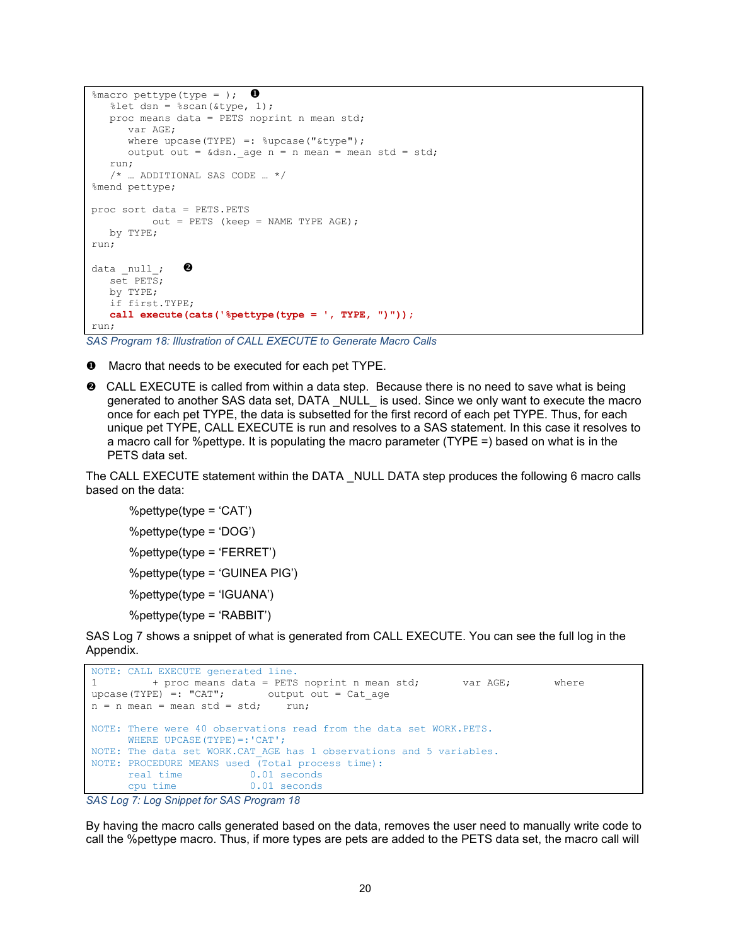```
%macro pettype(type = );
   \text{Set } dsn = \text{Secan}(\text{ktype}, 1);proc means data = PETS noprint n mean std;
       var AGE;
      where upcase(TYPE) =: \text{supcase}(" \text{type}");
      output out = \&dsn. age n = n mean = mean std = std;
    run; 
    /* … ADDITIONAL SAS CODE … */
%mend pettype;
proc sort data = PETS.PETS 
           out = PETS (keep = NAME TYPE AGE);
   by TYPE;
run;
data null; \Thetaset PETS; by TYPE;
    if first.TYPE;
    call execute(cats('%pettype(type = ', TYPE, ")")); 
run;
```
<span id="page-19-0"></span>*SAS Program 18: Illustration of CALL EXECUTE to Generate Macro Calls*

- **O** Macro that needs to be executed for each pet TYPE.
- CALL EXECUTE is called from within a data step. Because there is no need to save what is being generated to another SAS data set, DATA \_NULL\_ is used. Since we only want to execute the macro once for each pet TYPE, the data is subsetted for the first record of each pet TYPE. Thus, for each unique pet TYPE, CALL EXECUTE is run and resolves to a SAS statement. In this case it resolves to a macro call for %pettype. It is populating the macro parameter (TYPE =) based on what is in the PETS data set.

The CALL EXECUTE statement within the DATA \_NULL DATA step produces the following 6 macro calls based on the data:

%pettype(type = 'CAT') %pettype(type = 'DOG') %pettype(type = 'FERRET') %pettype(type = 'GUINEA PIG') %pettype(type = 'IGUANA') %pettype(type = 'RABBIT')

[SAS Log 7](#page-19-1) shows a snippet of what is generated from CALL EXECUTE. You can see the full log in the Appendix.

```
NOTE: CALL EXECUTE generated line.<br>1 + proc means data = PETS
       + proc means data = PETS noprint n mean std; var AGE; where
upcase(TYPE) =: "CAT"; output out = Cat_age<br>n = n mean = mean std = std; run;
n = n mean = mean std = std;
NOTE: There were 40 observations read from the data set WORK.PETS.
      WHERE UPCASE(TYPE) =: 'CAT';
NOTE: The data set WORK.CAT AGE has 1 observations and 5 variables.
NOTE: PROCEDURE MEANS used (Total process time):<br>real time 0.01 seconds
       real time 0.01 seconds<br>cpu time 0.01 seconds
                               0.01 seconds
```

```
SAS Log 7: Log Snippet for SAS Program 18
```
By having the macro calls generated based on the data, removes the user need to manually write code to call the %pettype macro. Thus, if more types are pets are added to the PETS data set, the macro call will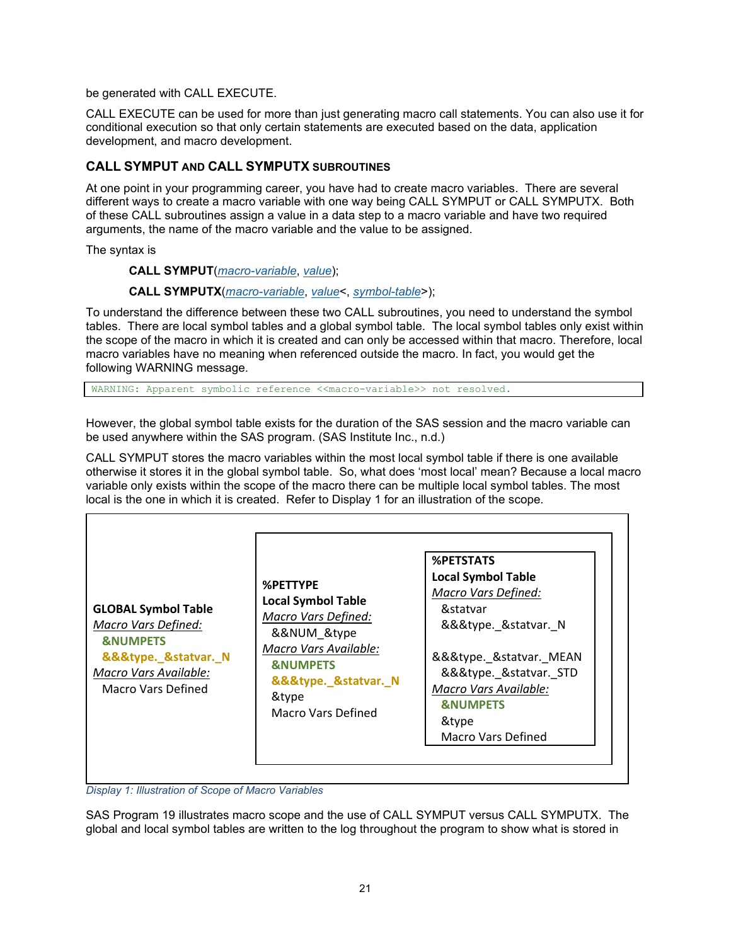be generated with CALL EXECUTE.

CALL EXECUTE can be used for more than just generating macro call statements. You can also use it for conditional execution so that only certain statements are executed based on the data, application development, and macro development.

## **CALL SYMPUT AND CALL SYMPUTX SUBROUTINES**

At one point in your programming career, you have had to create macro variables. There are several different ways to create a macro variable with one way being CALL SYMPUT or CALL SYMPUTX. Both of these CALL subroutines assign a value in a data step to a macro variable and have two required arguments, the name of the macro variable and the value to be assigned.

The syntax is

**CALL SYMPUT**(*macro-variable*, *value*);

#### **CALL SYMPUTX**(*macro-variable*, *value*<, *symbol-table*>);

To understand the difference between these two CALL subroutines, you need to understand the symbol tables. There are local symbol tables and a global symbol table. The local symbol tables only exist within the scope of the macro in which it is created and can only be accessed within that macro. Therefore, local macro variables have no meaning when referenced outside the macro. In fact, you would get the following WARNING message.

WARNING: Apparent symbolic reference <<macro-variable>> not resolved.

However, the global symbol table exists for the duration of the SAS session and the macro variable can be used anywhere within the SAS program. (SAS Institute Inc., n.d.)

CALL SYMPUT stores the macro variables within the most local symbol table if there is one available otherwise it stores it in the global symbol table. So, what does 'most local' mean? Because a local macro variable only exists within the scope of the macro there can be multiple local symbol tables. The most local is the one in which it is created. Refer to [Display 1](#page-20-0) for an illustration of the scope.



<span id="page-20-0"></span>*Display 1: Illustration of Scope of Macro Variables*

[SAS Program 19](#page-21-0) illustrates macro scope and the use of CALL SYMPUT versus CALL SYMPUTX. The global and local symbol tables are written to the log throughout the program to show what is stored in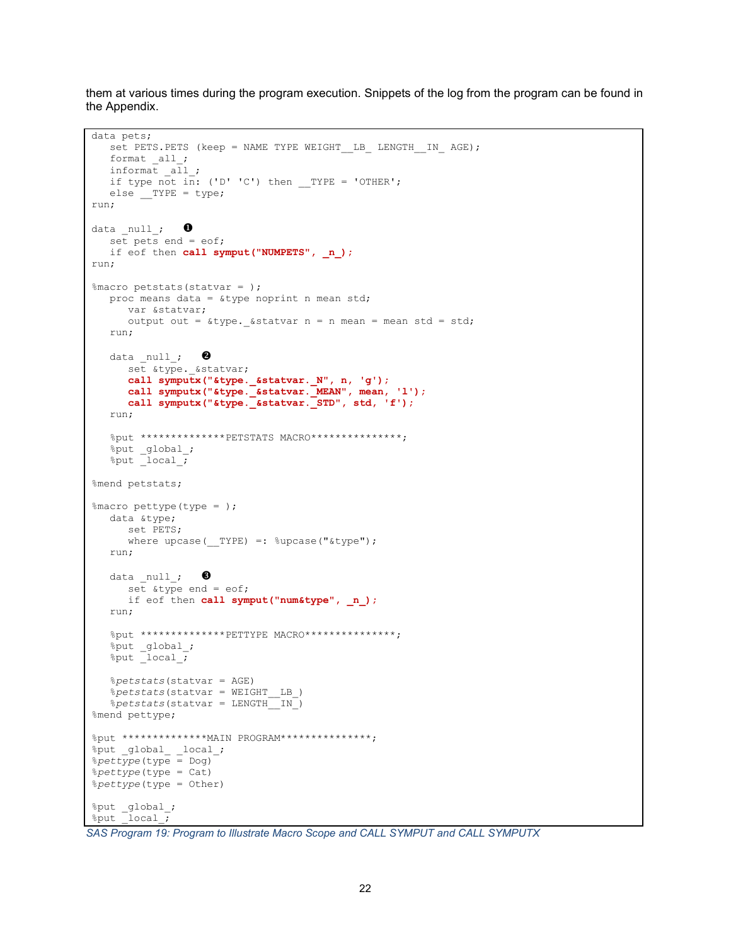them at various times during the program execution. Snippets of the log from the program can be found in the Appendix.

```
set PETS.PETS (keep = NAME TYPE WEIGHT LB LENGTH IN AGE);
   format all ;
    informat _all_;
  if type not in: ('D' 'C') then TYPE = 'OTHER';
  else _TYPE = type;run;
data null; \bulletset pets end = eof;
   if eof then call symput("NUMPETS", n);
run;
%macro petstats(statvar = );
   proc means data = &type noprint n mean std;
       var &statvar;
      output out = &type. &statvar n = n mean = mean std = std;
    run;
   data null; \Thetaset &type. &statvar;
       call symputx("&type._&statvar._N", n, 'g');
       call symputx("&type._&statvar._MEAN", mean, 'l');
       call symputx("&type._&statvar._STD", std, 'f');
    run;
    %put **************PETSTATS MACRO***************;
    %put _global_; 
   \frac{1}{2} put \frac{1}{2} ocal \frac{1}{2}%mend petstats;
%macro pettype(type = );
   data &type;
       set PETS;
      where upcase( TYPE) =: %upcase("&type");
    run;
   data null; \bulletset \overline{4} set \overline{5} at \overline{9} end = eof;
      if eof then call symput("num&type", n);
    run;
   %put **************PETTYPE MACRO***************;
   %put global ;
  %put local ;
    %petstats(statvar = AGE)
    %petstats(statvar = WEIGHT__LB_)
   % petstats(statvar = LENGTH IN)
%mend pettype;
%put **************MAIN PROGRAM***************;
%put _global_ _local_;
%pettype(type = Dog)
%pettype(type = Cat)
%pettype(type = Other)
%put _global_;
%put \_local;
```
data pets;

```
SAS Program 19: Program to Illustrate Macro Scope and CALL SYMPUT and CALL SYMPUTX
```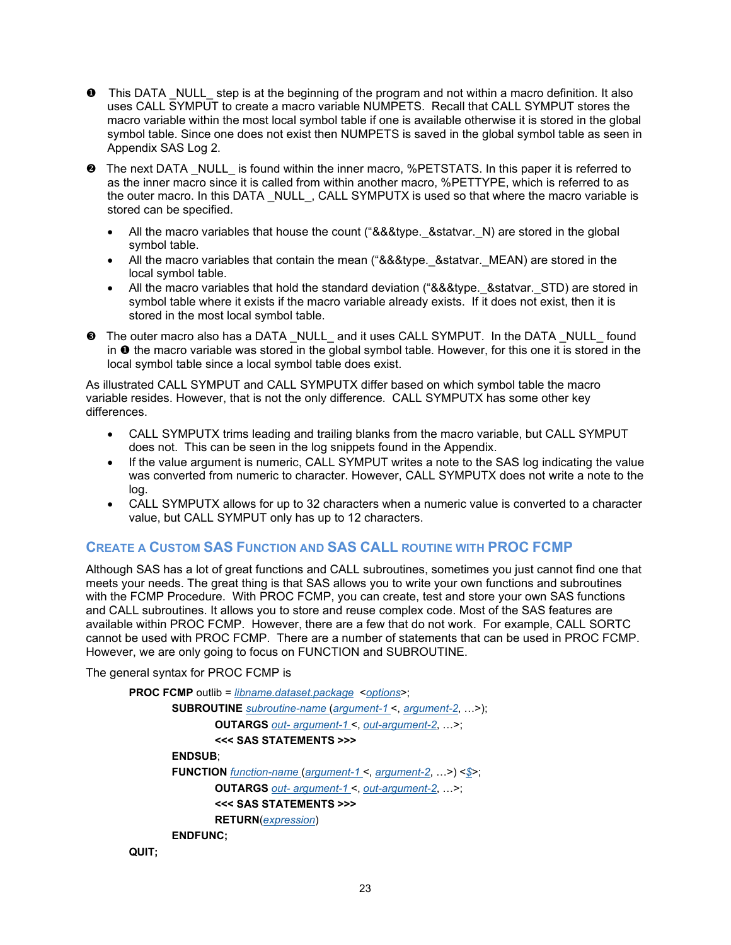- **O** This DATA NULL step is at the beginning of the program and not within a macro definition. It also uses CALL SYMPUT to create a macro variable NUMPETS. Recall that CALL SYMPUT stores the macro variable within the most local symbol table if one is available otherwise it is stored in the global symbol table. Since one does not exist then NUMPETS is saved in the global symbol table as seen in [Appendix SAS Log 2.](#page-29-0)
- $\Theta$  The next DATA NULL is found within the inner macro, %PETSTATS. In this paper it is referred to as the inner macro since it is called from within another macro, %PETTYPE, which is referred to as the outer macro. In this DATA \_NULL\_, CALL SYMPUTX is used so that where the macro variable is stored can be specified.
	- All the macro variables that house the count ("&&&type. & statvar. N) are stored in the global symbol table.
	- All the macro variables that contain the mean ("&&&type. & statvar. MEAN) are stored in the local symbol table.
	- All the macro variables that hold the standard deviation ("&&&type. & statvar. STD) are stored in symbol table where it exists if the macro variable already exists. If it does not exist, then it is stored in the most local symbol table.
- The outer macro also has a DATA \_NULL\_ and it uses CALL SYMPUT. In the DATA \_NULL\_ found in  $\bullet$  the macro variable was stored in the global symbol table. However, for this one it is stored in the local symbol table since a local symbol table does exist.

As illustrated CALL SYMPUT and CALL SYMPUTX differ based on which symbol table the macro variable resides. However, that is not the only difference. CALL SYMPUTX has some other key differences.

- CALL SYMPUTX trims leading and trailing blanks from the macro variable, but CALL SYMPUT does not. This can be seen in the log snippets found in the Appendix.
- If the value argument is numeric, CALL SYMPUT writes a note to the SAS log indicating the value was converted from numeric to character. However, CALL SYMPUTX does not write a note to the log.
- CALL SYMPUTX allows for up to 32 characters when a numeric value is converted to a character value, but CALL SYMPUT only has up to 12 characters.

## **CREATE A CUSTOM SAS FUNCTION AND SAS CALL ROUTINE WITH PROC FCMP**

Although SAS has a lot of great functions and CALL subroutines, sometimes you just cannot find one that meets your needs. The great thing is that SAS allows you to write your own functions and subroutines with the FCMP Procedure. With PROC FCMP, you can create, test and store your own SAS functions and CALL subroutines. It allows you to store and reuse complex code. Most of the SAS features are available within PROC FCMP. However, there are a few that do not work. For example, CALL SORTC cannot be used with PROC FCMP. There are a number of statements that can be used in PROC FCMP. However, we are only going to focus on FUNCTION and SUBROUTINE.

The general syntax for PROC FCMP is

```
PROC FCMP outlib = libname.dataset.package <options>;
       SUBROUTINE subroutine-name (argument-1 <, argument-2, …>);
               OUTARGS out- argument-1 <, out-argument-2, …>;
               <<< SAS STATEMENTS >>>
       ENDSUB;
       FUNCTION function-name (argument-1 <, argument-2, …>) <$>;
               OUTARGS out- argument-1 <, out-argument-2, …>;
               <<< SAS STATEMENTS >>>
               RETURN(expression)
       ENDFUNC;
```

```
QUIT;
```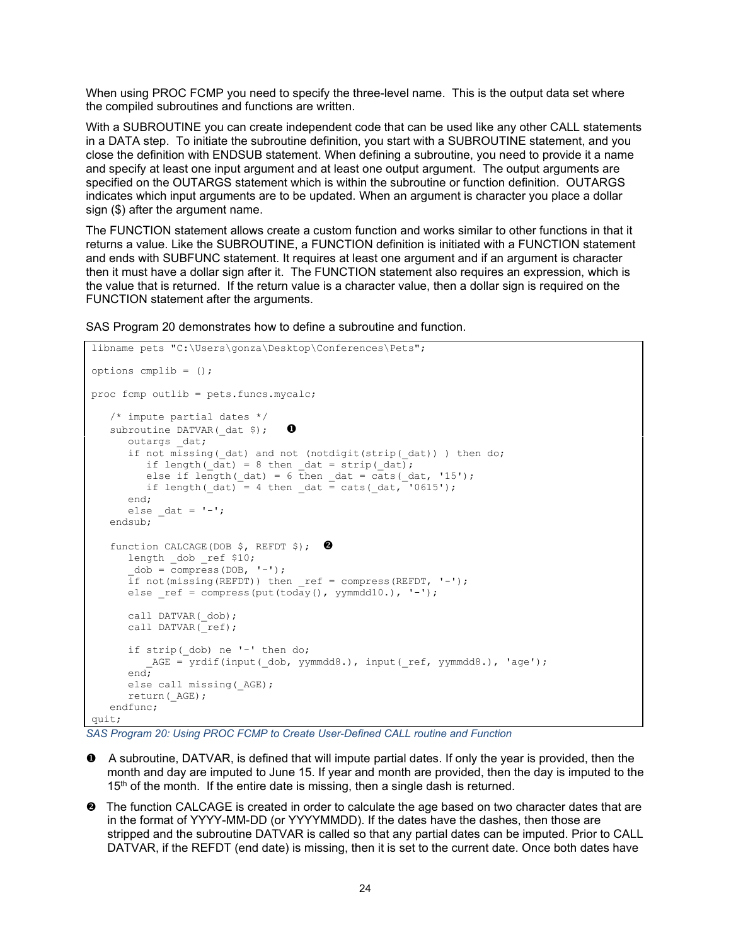When using PROC FCMP you need to specify the three-level name. This is the output data set where the compiled subroutines and functions are written.

With a SUBROUTINE you can create independent code that can be used like any other CALL statements in a DATA step. To initiate the subroutine definition, you start with a SUBROUTINE statement, and you close the definition with ENDSUB statement. When defining a subroutine, you need to provide it a name and specify at least one input argument and at least one output argument. The output arguments are specified on the OUTARGS statement which is within the subroutine or function definition. OUTARGS indicates which input arguments are to be updated. When an argument is character you place a dollar sign (\$) after the argument name.

The FUNCTION statement allows create a custom function and works similar to other functions in that it returns a value. Like the SUBROUTINE, a FUNCTION definition is initiated with a FUNCTION statement and ends with SUBFUNC statement. It requires at least one argument and if an argument is character then it must have a dollar sign after it. The FUNCTION statement also requires an expression, which is the value that is returned. If the return value is a character value, then a dollar sign is required on the FUNCTION statement after the arguments.

[SAS Program 20](#page-23-0) demonstrates how to define a subroutine and function.

```
libname pets "C:\Users\gonza\Desktop\Conferences\Pets";
options cmplib = ();
proc fcmp outlib = pets.funcs.mycalc;
    /* impute partial dates */ 
   subroutine DATVAR(dat$); \bulletoutargs dat;
      if not missing( dat) and not (notdigit(strip( dat)) ) then do;
         if length(\overline{dat}) = 8 then dat = strip(\overline{dat});
         else if length(dat) = 6 then dat = cats(dat, '15');
         if length(dat) = 4 then dat = cats(dat, '0615');
       end;
      else dat = '-'; endsub;
   function CALCAGE(DOB $, REFDT $); <sup>0</sup>
      length dob ref $10;
      \_\text{dob} = \text{compress}(\text{DOB}, \text{ '--'},if not(missing(REFDT)) then ref = compress(REFDT, '-'');else ref = compress(put(today(), yymmdd10.), '--');call DATVAR( dob);
      call DATA (ref);
      if strip( dob) ne '-' then do;
         AGE = yrdif(input( dob, yymmdd8.), input( ref, yymmdd8.), 'age');
       end;
      else call missing( AGE);
       return(_AGE);
    endfunc;
quit;
```
<span id="page-23-0"></span>*SAS Program 20: Using PROC FCMP to Create User-Defined CALL routine and Function*

- A subroutine, DATVAR, is defined that will impute partial dates. If only the year is provided, then the month and day are imputed to June 15. If year and month are provided, then the day is imputed to the  $15<sup>th</sup>$  of the month. If the entire date is missing, then a single dash is returned.
- $\Theta$  The function CALCAGE is created in order to calculate the age based on two character dates that are in the format of YYYY-MM-DD (or YYYYMMDD). If the dates have the dashes, then those are stripped and the subroutine DATVAR is called so that any partial dates can be imputed. Prior to CALL DATVAR, if the REFDT (end date) is missing, then it is set to the current date. Once both dates have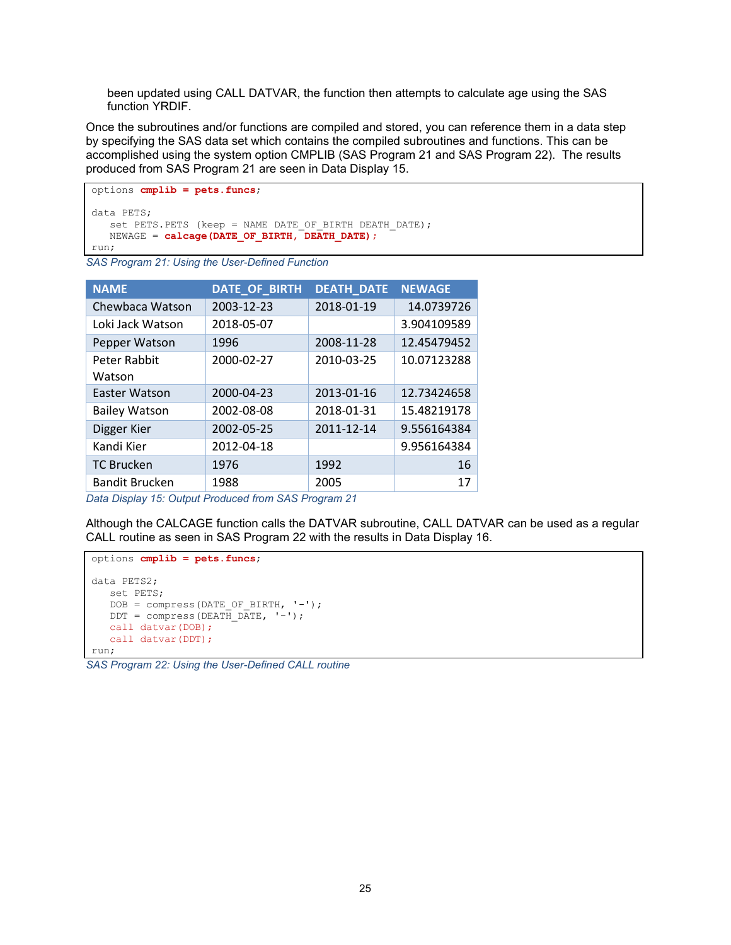been updated using CALL DATVAR, the function then attempts to calculate age using the SAS function YRDIF.

Once the subroutines and/or functions are compiled and stored, you can reference them in a data step by specifying the SAS data set which contains the compiled subroutines and functions. This can be accomplished using the system option CMPLIB [\(SAS Program 21](#page-24-0) and [SAS Program 22\)](#page-24-1). The results produced from [SAS Program 21](#page-24-0) are seen in [Data Display 15.](#page-24-2)

```
options cmplib = pets.funcs;
data PETS;
  set PETS.PETS (keep = NAME DATE OF BIRTH DEATH DATE);
  NEWAGE = calcage(DATE OF BIRTH, DEATH DATE);
run;
```
<span id="page-24-0"></span>*SAS Program 21: Using the User-Defined Function*

| <b>NAME</b>           | DATE_OF_BIRTH | <b>DEATH_DATE</b> | <b>NEWAGE</b> |
|-----------------------|---------------|-------------------|---------------|
| Chewbaca Watson       | 2003-12-23    | 2018-01-19        | 14.0739726    |
| Loki Jack Watson      | 2018-05-07    |                   | 3.904109589   |
| Pepper Watson         | 1996          | 2008-11-28        | 12.45479452   |
| Peter Rabbit          | 2000-02-27    | 2010-03-25        | 10.07123288   |
| Watson                |               |                   |               |
| <b>Easter Watson</b>  | 2000-04-23    | 2013-01-16        | 12.73424658   |
| <b>Bailey Watson</b>  | 2002-08-08    | 2018-01-31        | 15.48219178   |
| Digger Kier           | 2002-05-25    | 2011-12-14        | 9.556164384   |
| Kandi Kier            | 2012-04-18    |                   | 9.956164384   |
| <b>TC Brucken</b>     | 1976          | 1992              | 16            |
| <b>Bandit Brucken</b> | 1988          | 2005              | 17            |

<span id="page-24-2"></span>*Data Display 15: Output Produced fro[m SAS Program 21](#page-24-0)*

Although the CALCAGE function calls the DATVAR subroutine, CALL DATVAR can be used as a regular CALL routine as seen in [SAS Program 22](#page-24-1) with the results in [Data Display 16.](#page-25-0)

```
options cmplib = pets.funcs;
data PETS2;
   set PETS;
   DOB = compress(DATE OF BIRTH, '-'');DDT = compress(DEATH DATE, '-');
  call datvar(DOB);
  call datvar(DDT);
run;
```
<span id="page-24-1"></span>*SAS Program 22: Using the User-Defined CALL routine*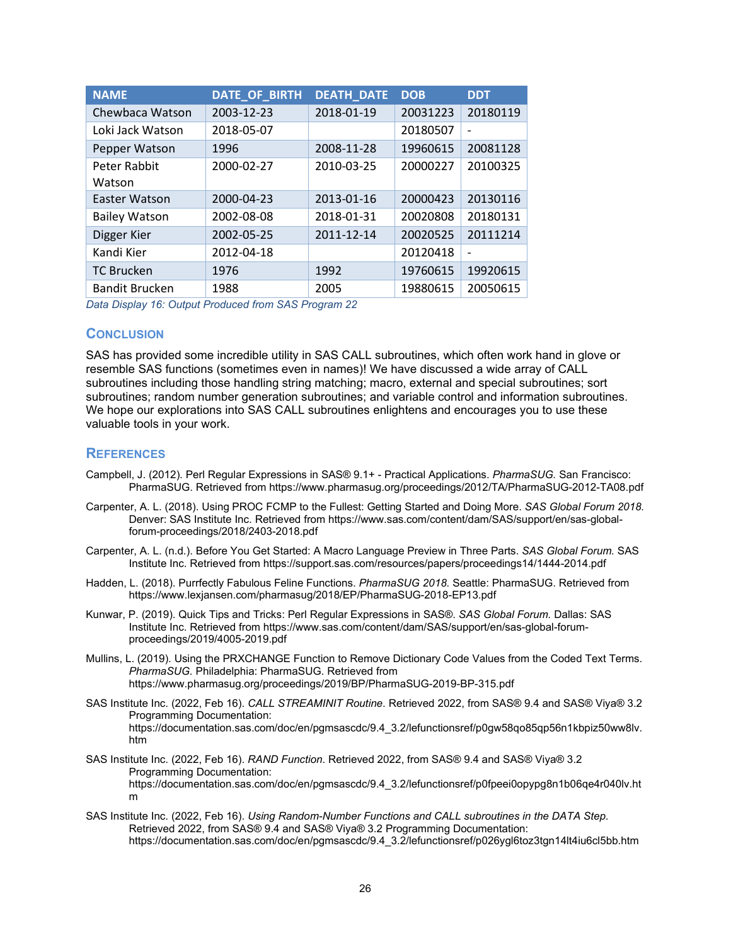| <b>NAME</b>           | <b>DATE OF BIRTH</b> | <b>DEATH_DATE</b> | <b>DOB</b> | <b>DDT</b> |
|-----------------------|----------------------|-------------------|------------|------------|
| Chewbaca Watson       | 2003-12-23           | 2018-01-19        | 20031223   | 20180119   |
| Loki Jack Watson      | 2018-05-07           |                   | 20180507   |            |
| Pepper Watson         | 1996                 | 2008-11-28        | 19960615   | 20081128   |
| Peter Rabbit          | 2000-02-27           | 2010-03-25        | 20000227   | 20100325   |
| Watson                |                      |                   |            |            |
| Easter Watson         | 2000-04-23           | 2013-01-16        | 20000423   | 20130116   |
| <b>Bailey Watson</b>  | 2002-08-08           | 2018-01-31        | 20020808   | 20180131   |
| Digger Kier           | 2002-05-25           | 2011-12-14        | 20020525   | 20111214   |
| Kandi Kier            | 2012-04-18           |                   | 20120418   |            |
| <b>TC Brucken</b>     | 1976                 | 1992              | 19760615   | 19920615   |
| <b>Bandit Brucken</b> | 1988                 | 2005              | 19880615   | 20050615   |

<span id="page-25-0"></span>*Data Display 16: Output Produced fro[m SAS Program 22](#page-24-1)*

#### **CONCLUSION**

SAS has provided some incredible utility in SAS CALL subroutines, which often work hand in glove or resemble SAS functions (sometimes even in names)! We have discussed a wide array of CALL subroutines including those handling string matching; macro, external and special subroutines; sort subroutines; random number generation subroutines; and variable control and information subroutines. We hope our explorations into SAS CALL subroutines enlightens and encourages you to use these valuable tools in your work.

#### **REFERENCES**

- Campbell, J. (2012). Perl Regular Expressions in SAS® 9.1+ Practical Applications. *PharmaSUG.* San Francisco: PharmaSUG. Retrieved from https://www.pharmasug.org/proceedings/2012/TA/PharmaSUG-2012-TA08.pdf
- Carpenter, A. L. (2018). Using PROC FCMP to the Fullest: Getting Started and Doing More. *SAS Global Forum 2018.* Denver: SAS Institute Inc. Retrieved from https://www.sas.com/content/dam/SAS/support/en/sas-globalforum-proceedings/2018/2403-2018.pdf
- Carpenter, A. L. (n.d.). Before You Get Started: A Macro Language Preview in Three Parts. *SAS Global Forum.* SAS Institute Inc. Retrieved from https://support.sas.com/resources/papers/proceedings14/1444-2014.pdf
- Hadden, L. (2018). Purrfectly Fabulous Feline Functions. *PharmaSUG 2018.* Seattle: PharmaSUG. Retrieved from https://www.lexjansen.com/pharmasug/2018/EP/PharmaSUG-2018-EP13.pdf
- Kunwar, P. (2019). Quick Tips and Tricks: Perl Regular Expressions in SAS®. *SAS Global Forum.* Dallas: SAS Institute Inc. Retrieved from https://www.sas.com/content/dam/SAS/support/en/sas-global-forumproceedings/2019/4005-2019.pdf
- Mullins, L. (2019). Using the PRXCHANGE Function to Remove Dictionary Code Values from the Coded Text Terms. *PharmaSUG.* Philadelphia: PharmaSUG. Retrieved from https://www.pharmasug.org/proceedings/2019/BP/PharmaSUG-2019-BP-315.pdf
- SAS Institute Inc. (2022, Feb 16). *CALL STREAMINIT Routine*. Retrieved 2022, from SAS® 9.4 and SAS® Viya® 3.2 Programming Documentation: https://documentation.sas.com/doc/en/pgmsascdc/9.4\_3.2/lefunctionsref/p0gw58qo85qp56n1kbpiz50ww8lv. htm
- SAS Institute Inc. (2022, Feb 16). *RAND Function*. Retrieved 2022, from SAS® 9.4 and SAS® Viya® 3.2 Programming Documentation: https://documentation.sas.com/doc/en/pgmsascdc/9.4\_3.2/lefunctionsref/p0fpeei0opypg8n1b06qe4r040lv.ht m
- SAS Institute Inc. (2022, Feb 16). *Using Random-Number Functions and CALL subroutines in the DATA Step*. Retrieved 2022, from SAS® 9.4 and SAS® Viya® 3.2 Programming Documentation: https://documentation.sas.com/doc/en/pgmsascdc/9.4\_3.2/lefunctionsref/p026ygl6toz3tgn14lt4iu6cl5bb.htm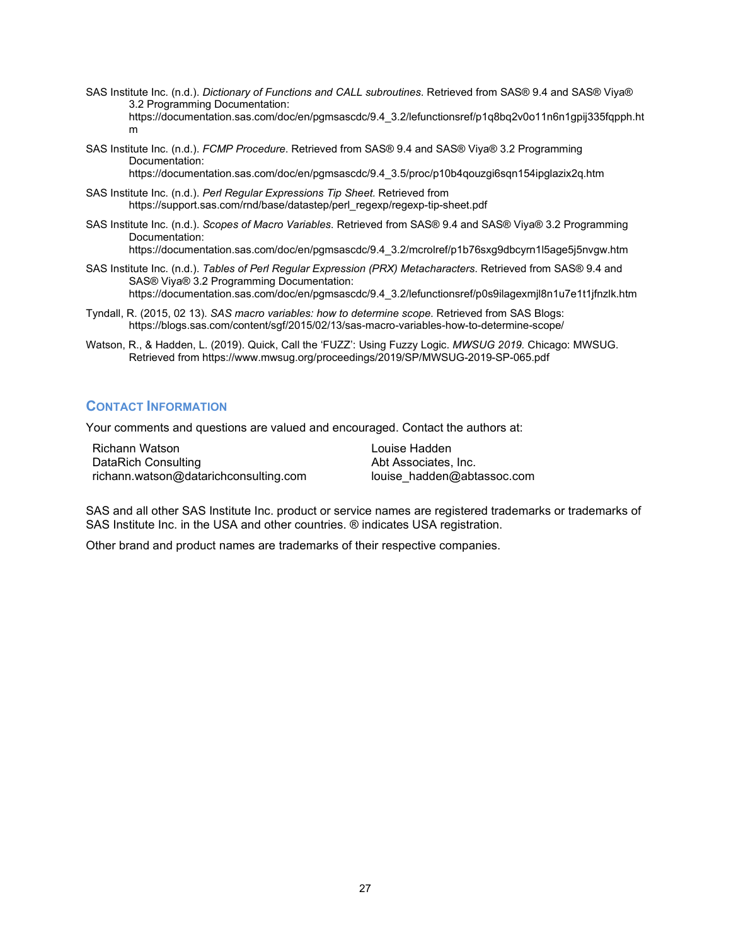- SAS Institute Inc. (n.d.). *Dictionary of Functions and CALL subroutines*. Retrieved from SAS® 9.4 and SAS® Viya® 3.2 Programming Documentation: https://documentation.sas.com/doc/en/pgmsascdc/9.4\_3.2/lefunctionsref/p1q8bq2v0o11n6n1gpij335fqpph.ht m
- SAS Institute Inc. (n.d.). *FCMP Procedure*. Retrieved from SAS® 9.4 and SAS® Viya® 3.2 Programming Documentation:

https://documentation.sas.com/doc/en/pgmsascdc/9.4\_3.5/proc/p10b4qouzgi6sqn154ipglazix2q.htm

- SAS Institute Inc. (n.d.). *Perl Regular Expressions Tip Sheet.* Retrieved from https://support.sas.com/rnd/base/datastep/perl\_regexp/regexp-tip-sheet.pdf
- SAS Institute Inc. (n.d.). *Scopes of Macro Variables*. Retrieved from SAS® 9.4 and SAS® Viya® 3.2 Programming Documentation:

https://documentation.sas.com/doc/en/pgmsascdc/9.4\_3.2/mcrolref/p1b76sxg9dbcyrn1l5age5j5nvgw.htm

- SAS Institute Inc. (n.d.). *Tables of Perl Regular Expression (PRX) Metacharacters*. Retrieved from SAS® 9.4 and SAS® Viya® 3.2 Programming Documentation: https://documentation.sas.com/doc/en/pgmsascdc/9.4\_3.2/lefunctionsref/p0s9ilagexmjl8n1u7e1t1jfnzlk.htm
- Tyndall, R. (2015, 02 13). *SAS macro variables: how to determine scope*. Retrieved from SAS Blogs: https://blogs.sas.com/content/sgf/2015/02/13/sas-macro-variables-how-to-determine-scope/
- Watson, R., & Hadden, L. (2019). Quick, Call the 'FUZZ': Using Fuzzy Logic. *MWSUG 2019.* Chicago: MWSUG. Retrieved from https://www.mwsug.org/proceedings/2019/SP/MWSUG-2019-SP-065.pdf

### **CONTACT INFORMATION**

Your comments and questions are valued and encouraged. Contact the authors at:

Richann Watson DataRich Consulting richann.watson@datarichconsulting.com Louise Hadden Abt Associates, Inc. louise\_hadden@abtassoc.com

SAS and all other SAS Institute Inc. product or service names are registered trademarks or trademarks of SAS Institute Inc. in the USA and other countries. ® indicates USA registration.

Other brand and product names are trademarks of their respective companies.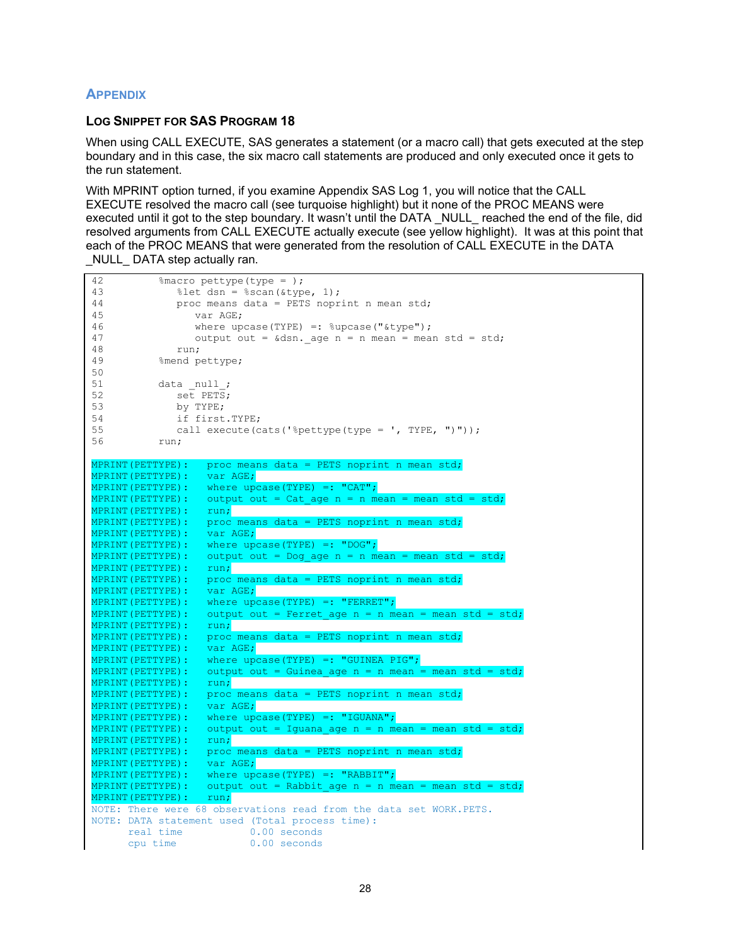## **APPENDIX**

#### **LOG SNIPPET FOR SAS [PROGRAM 18](#page-19-0)**

When using CALL EXECUTE, SAS generates a statement (or a macro call) that gets executed at the step boundary and in this case, the six macro call statements are produced and only executed once it gets to the run statement.

With MPRINT option turned, if you examine [Appendix SAS Log 1,](#page-29-1) you will notice that the CALL EXECUTE resolved the macro call (see turquoise highlight) but it none of the PROC MEANS were executed until it got to the step boundary. It wasn't until the DATA NULL reached the end of the file, did resolved arguments from CALL EXECUTE actually execute (see yellow highlight). It was at this point that each of the PROC MEANS that were generated from the resolution of CALL EXECUTE in the DATA NULL DATA step actually ran.

```
42 % macro pettype (type = );<br>43 % let dsn = % scan (& tvp
43 % let dsn = %scan(&type, 1);<br>44 proc means data = PETS nopr
44 proc means data = PETS noprint n mean std;<br>45 var AGE:
45 var AGE;<br>46 var aun
46 where upcase (TYPE) =: \text{supcase} ("\text{type}");<br>47 output out = \text{A} \text{S}n age n = n mean = mea
47 output out = \&dsn._age n = n mean = mean std = std;<br>48 run;
48 run;<br>49 ‱mendo
                % mend pettype;
50<br>51
51 \begin{array}{ccc} \text{data null}; \\ \text{52} \end{array}52 set PETS;<br>53 by TYPE:
53 by TYPE;<br>54 if first
54 if first.TYPE;<br>55 call execute (c
55 call execute(cats('%pettype(type = ', TYPE, ")"));<br>56 min:
                 run;
MPRINT(PETTYPE): proc means data = PETS noprint n mean std;<br>MPRINT(PETTYPE): var AGE;
MPRINT(PETTYPE):<br>MPRINT(PETTYPE):
MPRINT(PETTYPE): where upcase(TYPE) =: "CAT";<br>MPRINT(PETTYPE): output out = Cat age n = n me
                             output out = Cat\_\text{age} n = n mean = mean std = std;<br>run;
MPRINT (PETTYPE) :<br>MPRINT (PETTYPE) :
                            proc means data = PETS noprint n mean std;<br>var AGE;
MPRINT (PETTYPE) :<br>MPRINT (PETTYPE) :
MPRINT(PETTYPE): where upcase(TYPE) =: "DOG";<br>MPRINT(PETTYPE): output out = Dog age n = n me
                             output out = \text{Dog}_\text{age} n = n mean = mean std = std;<br>run;
MPRINT(PETTYPE)<mark>:</mark><br>MPRINT(PETTYPE):
                             proc means data = PETS noprint n mean std;<br>var AGE;
MPRINT (PETTYPE) :<br>MPRINT (PETTYPE) :
MPRINT(PETTYPE): where upcase(TYPE) =: "FERRET";<br>MPRINT(PETTYPE): output out = Ferret age n = n m
                            output out = Ferret_age n = n mean = mean std = std;<br>run;
MPRINT (PETTYPE) :<br>MPRINT (PETTYPE) :
                            proc means data = PETS noprint n mean std;<br>var AGE;
MPRINT(PETTYPE)<mark>:</mark><br>MPRINT(PETTYPE):
MPRINT(PETTYPE): where upcase(TYPE) =: "GUINEA PIG";<br>MPRINT(PETTYPE): output out = Guinea age n = n mean
                            output out = Guinea_age n = n mean = mean std = std;<br>run;
MPRINT(PETTYPE):<br>MPRINT(PETTYPE):
                            proc means data = PETS noprint n mean std;<br>var AGE;
MPRINT (PETTYPE) :<br>MPRINT (PETTYPE) :
MPRINT(PETTYPE): where upcase(TYPE) =: "IGUANA";<br>MPRINT(PETTYPE): output out = Iguana age n = n me
                            output out = Iguana_age n = n mean = mean std = std;<br>run;
MPRINT (PETTYPE) :<br>MPRINT (PETTYPE) :
                            proc means data = PETS noprint n mean std;<br>var AGE;
MPRINT (PETTYPE) :<br>MPRINT (PETTYPE) :
MPRINT(PETTYPE): where upcase(TYPE) =: "RABBIT";<br>MPRINT(PETTYPE): output out = Rabbit age n = n me
                            output out = Rabbit age n = n mean = mean std = std;
MPRINT(PETTYPE): run;
NOTE: There were 68 observations read from the data set WORK.PETS.
NOTE: DATA statement used (Total process time):<br>real \times 0.00 seconds
         real time<br>cpu time
                                        0.00 seconds
```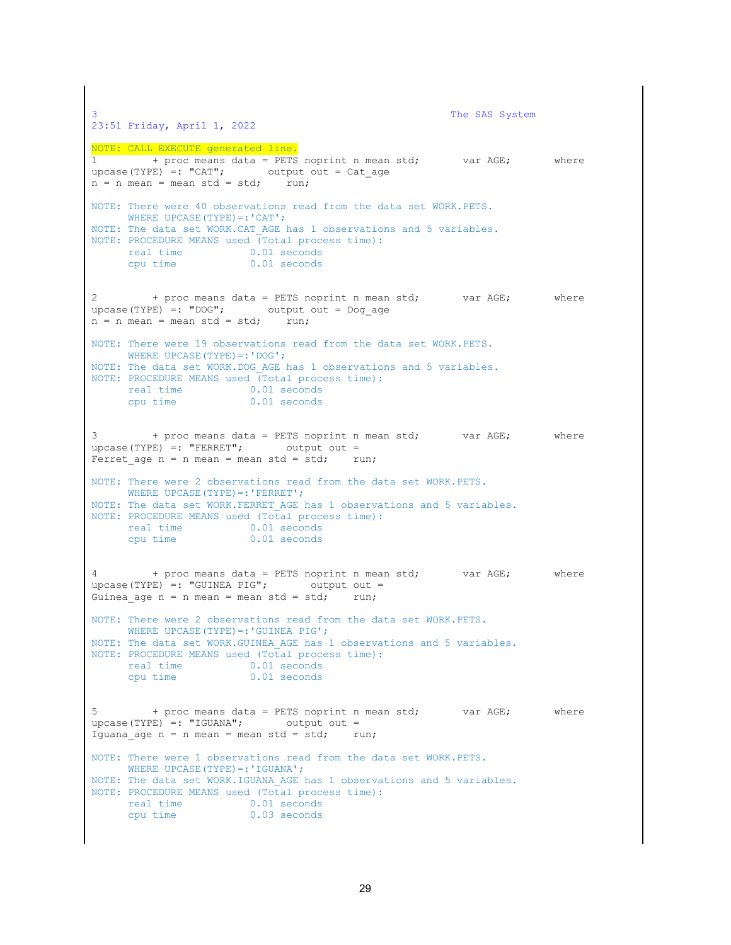```
The SAS System
23:51 Friday, April 1, 2022
NOTE: CALL EXECUTE generated line.
1 + proc means data = PETS noprint n mean std; var AGE; where
upcase(TYPE) =: "CAT"; output out = Cat age
n = n mean = mean std = std; run;
NOTE: There were 40 observations read from the data set WORK.PETS.
     WHERE UPCASE(TYPE) =: 'CAT';
NOTE: The data set WORK.CAT AGE has 1 observations and 5 variables.
NOTE: PROCEDURE MEANS used (Total process time):
     real time 0.01 seconds<br>cpu time 0.01 seconds
                         0.01 seconds
2 + proc means data = PETS noprint n mean std; var AGE; where
upcase(TYPE) =: "DOG"; output out = Dog age
n = n mean = mean std = std; run;
NOTE: There were 19 observations read from the data set WORK.PETS.
     WHERE UPCASE(TYPE) =: 'DOG';
NOTE: The data set WORK.DOG_AGE has 1 observations and 5 variables.
NOTE: PROCEDURE MEANS used (Total process time):<br>real time 0.01 seconds
     real time 0.01 seconds<br>cpu time 0.01 seconds
                         0.01 seconds
3 + proc means data = PETS noprint n mean std; var AGE; where 
upcase(TYPE) =: "FERRET"; output out =
Ferret age n = n mean = mean std = std; run;
NOTE: There were 2 observations read from the data set WORK.PETS.
     WHERE UPCASE(TYPE) =: 'FERRET';
NOTE: The data set WORK. FERRET AGE has 1 observations and 5 variables.
NOTE: PROCEDURE MEANS used (Total process time):
     real time 0.01 seconds<br>cpu time 0.01 seconds
                        0.01 seconds
4 + proc means data = PETS noprint n mean std; var AGE; where 
upcase(TYPE) =: "GUINEA PIG"; output out = 
Guinea age n = n mean = mean std = std; run;
NOTE: There were 2 observations read from the data set WORK.PETS.
     WHERE UPCASE(TYPE) =: 'GUINEA PIG';
NOTE: The data set WORK.GUINEA_AGE has 1 observations and 5 variables.
NOTE: PROCEDURE MEANS used (Total process time):<br>real time 0.01 seconds
     real time<br>cpu time
                        0.01 seconds
5 + proc means data = PETS noprint n mean std; var AGE; where 
upcase(TYPE) =: "IGUANA"; \qquad \qquad output out =
Iguana age n = n mean = mean std = std; run;
NOTE: There were 1 observations read from the data set WORK.PETS.
     WHERE UPCASE(TYPE) =: 'IGUANA';
NOTE: The data set WORK.IGUANA_AGE has 1 observations and 5 variables.
NOTE: PROCEDURE MEANS used (Total process time):
     real time 0.01 seconds<br>cpu time 0.03 seconds
                        0.03 seconds
```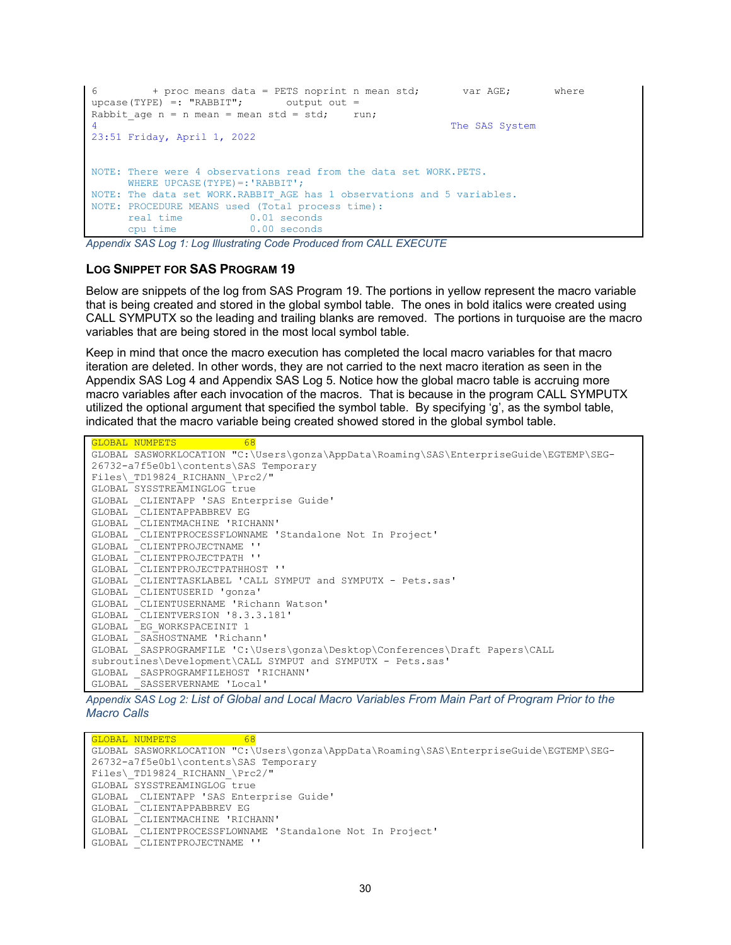```
+ proc means data = PETS noprint n mean std; var AGE; where
upcase(TYPE) =: "RABBIT"; output out =
Rabbit age n = n mean = mean std = std; run;
                                                              The SAS System
23:51 Friday, April 1, 2022
NOTE: There were 4 observations read from the data set WORK.PETS.
      WHERE UPCASE(TYPE) =: 'RABBIT';
NOTE: The data set WORK.RABBIT AGE has 1 observations and 5 variables.
NOTE: PROCEDURE MEANS used (Total process time):<br>real time 0.01 seconds
      real time 0.01 seconds<br>cpu time 0.00 seconds
                           0.00 seconds
```
<span id="page-29-1"></span>*Appendix SAS Log 1: Log Illustrating Code Produced from CALL EXECUTE*

#### **LOG SNIPPET FOR SAS [PROGRAM 19](#page-21-0)**

Below are snippets of the log from [SAS Program 19.](#page-21-0) The portions in yellow represent the macro variable that is being created and stored in the global symbol table. The ones in bold italics were created using CALL SYMPUTX so the leading and trailing blanks are removed. The portions in turquoise are the macro variables that are being stored in the most local symbol table.

Keep in mind that once the macro execution has completed the local macro variables for that macro iteration are deleted. In other words, they are not carried to the next macro iteration as seen in the [Appendix SAS Log 4](#page-30-0) and [Appendix SAS Log 5.](#page-31-0) Notice how the global macro table is accruing more macro variables after each invocation of the macros. That is because in the program CALL SYMPUTX utilized the optional argument that specified the symbol table. By specifying 'g', as the symbol table, indicated that the macro variable being created showed stored in the global symbol table.

```
GLOBAL NUMPETS 68
GLOBAL SASWORKLOCATION "C:\Users\gonza\AppData\Roaming\SAS\EnterpriseGuide\EGTEMP\SEG-
26732-a7f5e0b1\contents\SAS Temporary 
Files\_TD19824_RICHANN_\Prc2/"
GLOBAL SYSSTREAMINGLOG true
GLOBAL _CLIENTAPP 'SAS Enterprise Guide'
GLOBAL _CLIENTAPPABBREV EG
GLOBAL _CLIENTMACHINE 'RICHANN'
GLOBAL _CLIENTPROCESSFLOWNAME 'Standalone Not In Project'
GLOBAL _CLIENTPROJECTNAME ''
GLOBAL _CLIENTPROJECTPATH ''
GLOBAL _CLIENTPROJECTPATHHOST ''
GLOBAL _CLIENTTASKLABEL 'CALL SYMPUT and SYMPUTX - Pets.sas'
GLOBAL _CLIENTUSERID 'gonza'
GLOBAL _CLIENTUSERNAME 'Richann Watson'
GLOBAL _CLIENTVERSION '8.3.3.181'
GLOBAL _EG_WORKSPACEINIT 1
GLOBAL _SASHOSTNAME 'Richann'
GLOBAL _SASPROGRAMFILE 'C:\Users\gonza\Desktop\Conferences\Draft Papers\CALL
subroutines\Development\CALL SYMPUT and SYMPUTX - Pets.sas'
GLOBAL _SASPROGRAMFILEHOST 'RICHANN'
GLOBAL _SASSERVERNAME 'Local'
```
<span id="page-29-0"></span>*Appendix SAS Log 2: List of Global and Local Macro Variables From Main Part of Program Prior to the Macro Calls*

GLOBAL NUMPETS 68 GLOBAL SASWORKLOCATION "C:\Users\gonza\AppData\Roaming\SAS\EnterpriseGuide\EGTEMP\SEG-26732-a7f5e0b1\contents\SAS Temporary Files\ TD19824 RICHANN \Prc2/" GLOBAL SYSSTREAMINGLOG true GLOBAL \_CLIENTAPP 'SAS Enterprise Guide' GLOBAL \_CLIENTAPPABBREV EG GLOBAL CLIENTMACHINE 'RICHANN'<br>GLOBAL CLIENTPROCESSFLOWNAME ' CLIENTPROCESSFLOWNAME 'Standalone Not In Project' GLOBAL \_CLIENTPROJECTNAME ''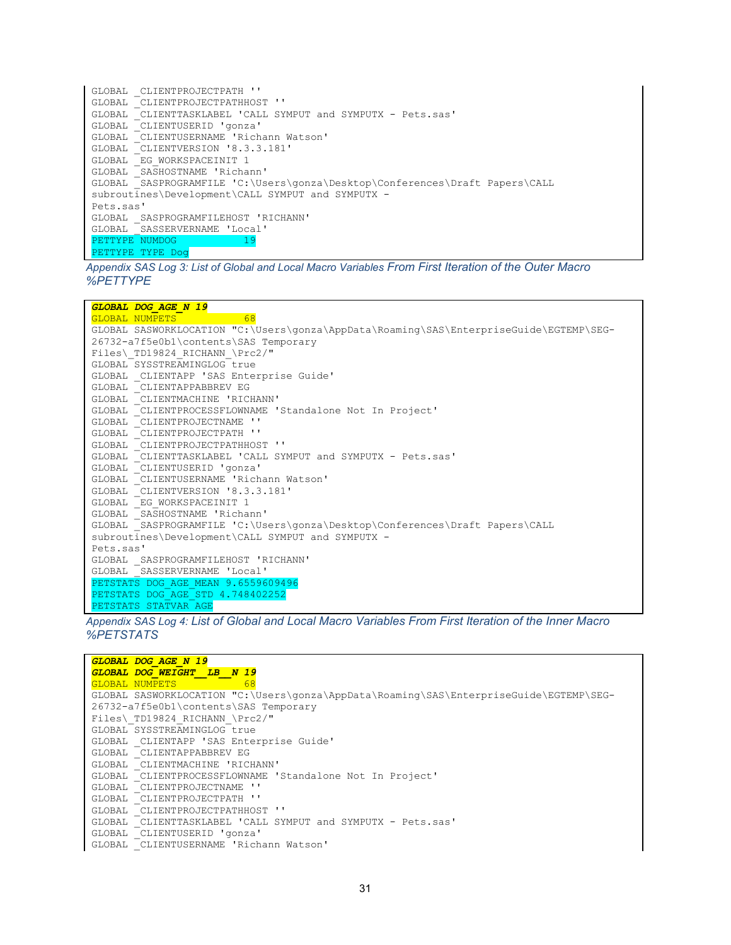| GLOBAL CLIENTPROJECTPATH ''                                                 |
|-----------------------------------------------------------------------------|
| GLOBAL CLIENTPROJECTPATHHOST ''                                             |
| GLOBAL CLIENTTASKLABEL 'CALL SYMPUT and SYMPUTX - Pets.sas'                 |
| GLOBAL CLIENTUSERID 'gonza'                                                 |
| GLOBAL CLIENTUSERNAME 'Richann Watson'                                      |
| GLOBAL CLIENTVERSION '8.3.3.181'                                            |
| GLOBAL EG WORKSPACEINIT 1                                                   |
| GLOBAL SASHOSTNAME 'Richann'                                                |
| GLOBAL SASPROGRAMFILE 'C:\Users\qonza\Desktop\Conferences\Draft Papers\CALL |
| subroutines\Development\CALL SYMPUT and SYMPUTX -                           |
| Pets.sas'                                                                   |
| GLOBAL SASPROGRAMFILEHOST 'RICHANN'                                         |
| GLOBAL SASSERVERNAME 'Local'                                                |
| 19<br>PETTYPE NUMDOG                                                        |
| PETTYPE TYPE Dog                                                            |

*Appendix SAS Log 3: List of Global and Local Macro Variables From First Iteration of the Outer Macro %PETTYPE*

*GLOBAL DOG\_AGE\_N 19*

GLOBAL NUMPETS 68 GLOBAL SASWORKLOCATION "C:\Users\gonza\AppData\Roaming\SAS\EnterpriseGuide\EGTEMP\SEG-26732-a7f5e0b1\contents\SAS Temporary Files\\_TD19824\_RICHANN\_\Prc2/" GLOBAL SYSSTREAMINGLOG true GLOBAL \_CLIENTAPP 'SAS Enterprise Guide' GLOBAL \_CLIENTAPPABBREV EG GLOBAL \_CLIENTMACHINE 'RICHANN' GLOBAL \_CLIENTPROCESSFLOWNAME 'Standalone Not In Project' CLIENTPROJECTNAME '' GLOBAL \_CLIENTPROJECTPATH '' GLOBAL \_CLIENTPROJECTPATHHOST '' GLOBAL \_CLIENTTASKLABEL 'CALL SYMPUT and SYMPUTX - Pets.sas' GLOBAL \_CLIENTUSERID 'gonza' GLOBAL \_CLIENTUSERNAME 'Richann Watson' GLOBAL \_CLIENTVERSION '8.3.3.181' GLOBAL \_EG\_WORKSPACEINIT 1 GLOBAL \_SASHOSTNAME 'Richann' GLOBAL SASPROGRAMFILE 'C:\Users\gonza\Desktop\Conferences\Draft Papers\CALL subroutines\Development\CALL SYMPUT and SYMPUTX - Pets.sas' GLOBAL \_SASPROGRAMFILEHOST 'RICHANN' GLOBAL \_SASSERVERNAME 'Local' PETSTATS DOG AGE MEAN 9.6559609496 PETSTATS DOG AGE STD 4.748402252 PETSTATS STATVAR AGE

<span id="page-30-0"></span>*Appendix SAS Log 4: List of Global and Local Macro Variables From First Iteration of the Inner Macro %PETSTATS*

*GLOBAL DOG\_AGE\_N 19 GLOBAL DOG\_WEIGHT\_\_LB\_\_N 19* GLOBAL NUMPETS 68 GLOBAL SASWORKLOCATION "C:\Users\gonza\AppData\Roaming\SAS\EnterpriseGuide\EGTEMP\SEG-26732-a7f5e0b1\contents\SAS Temporary Files\\_TD19824\_RICHANN\_\Prc2/" GLOBAL SYSSTREAMINGLOG true GLOBAL \_CLIENTAPP 'SAS Enterprise Guide' GLOBAL \_CLIENTAPPABBREV EG GLOBAL \_CLIENTMACHINE 'RICHANN' GLOBAL \_CLIENTPROCESSFLOWNAME 'Standalone Not In Project' GLOBAL \_CLIENTPROJECTNAME '' GLOBAL \_CLIENTPROJECTPATH '' GLOBAL \_CLIENTPROJECTPATHHOST '' GLOBAL \_CLIENTTASKLABEL 'CALL SYMPUT and SYMPUTX - Pets.sas' GLOBAL \_CLIENTUSERID 'gonza' GLOBAL \_CLIENTUSERNAME 'Richann Watson'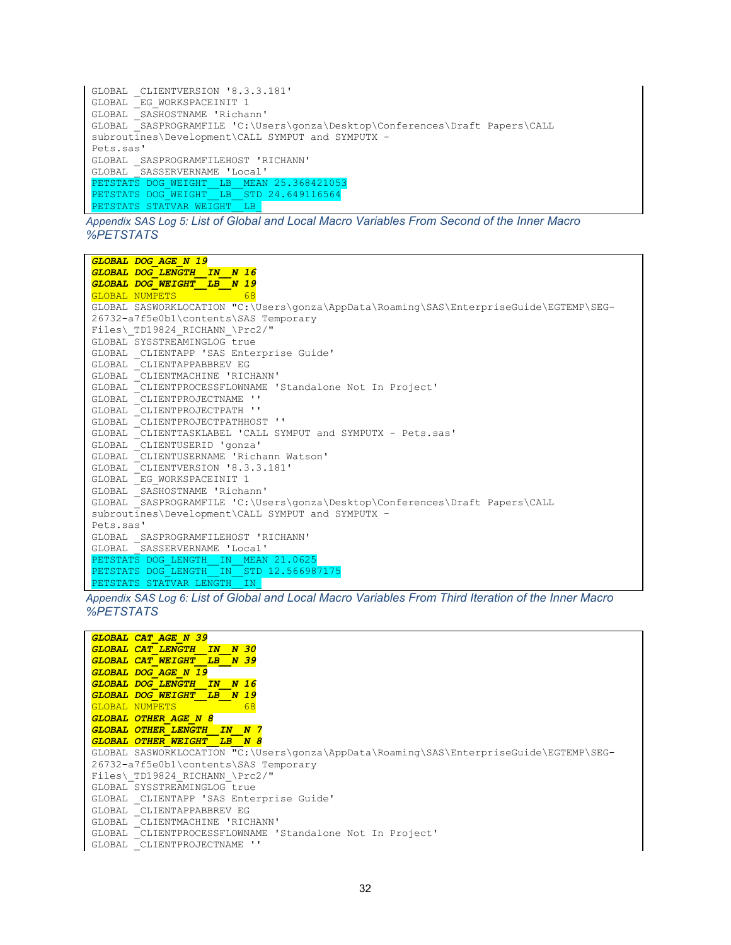```
GLOBAL _CLIENTVERSION '8.3.3.181'
GLOBAL _EG_WORKSPACEINIT 1
GLOBAL _SASHOSTNAME 'Richann'
       GASPROGRAMFILE 'C:\Users\gonza\Desktop\Conferences\Draft Papers\CALL
subroutines\Development\CALL SYMPUT and SYMPUTX -
Pets.sas'
GLOBAL _SASPROGRAMFILEHOST 'RICHANN'
GLOBAL _SASSERVERNAME 'Local'
PETSTATS DOG_WEIGHT__LB__MEAN 25.368421053
PETSTATS DOG_WEIGHT__LB__STD 24.649116564
PETSTATS STATVAR WEIGHT LB
```
<span id="page-31-0"></span>*Appendix SAS Log 5: List of Global and Local Macro Variables From Second of the Inner Macro %PETSTATS*



*Appendix SAS Log 6: List of Global and Local Macro Variables From Third Iteration of the Inner Macro %PETSTATS*